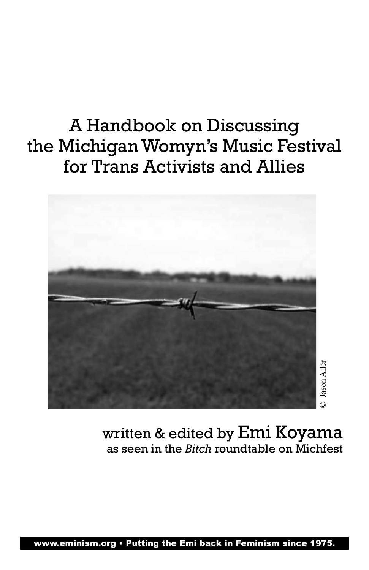# A Handbook on Discussing the Michigan Womyn's Music Festival for Trans Activists and Allies



written & edited by Emi Koyama as seen in the *Bitch* roundtable on Michfest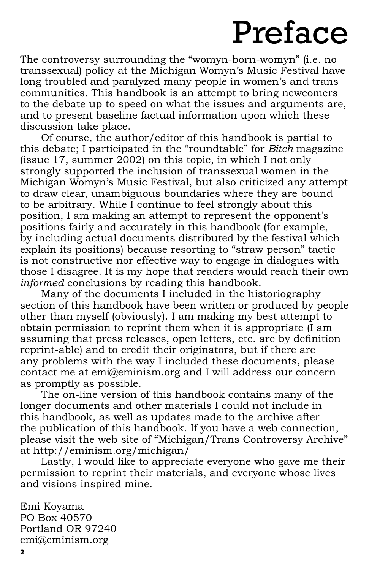# Preface

The controversy surrounding the "womyn-born-womyn" (i.e. no transsexual) policy at the Michigan Womyn's Music Festival have long troubled and paralyzed many people in women's and trans communities. This handbook is an attempt to bring newcomers to the debate up to speed on what the issues and arguments are, and to present baseline factual information upon which these discussion take place.

Of course, the author/editor of this handbook is partial to this debate; I participated in the "roundtable" for *Bitch* magazine (issue 17, summer 2002) on this topic, in which I not only strongly supported the inclusion of transsexual women in the Michigan Womyn's Music Festival, but also criticized any attempt to draw clear, unambiguous boundaries where they are bound to be arbitrary. While I continue to feel strongly about this position, I am making an attempt to represent the opponent's positions fairly and accurately in this handbook (for example, by including actual documents distributed by the festival which explain its positions) because resorting to "straw person" tactic is not constructive nor effective way to engage in dialogues with those I disagree. It is my hope that readers would reach their own *informed* conclusions by reading this handbook.

Many of the documents I included in the historiography section of this handbook have been written or produced by people other than myself (obviously). I am making my best attempt to obtain permission to reprint them when it is appropriate (I am assuming that press releases, open letters, etc. are by definition reprint-able) and to credit their originators, but if there are any problems with the way I included these documents, please contact me at emi@eminism.org and I will address our concern as promptly as possible.

The on-line version of this handbook contains many of the longer documents and other materials I could not include in this handbook, as well as updates made to the archive after the publication of this handbook. If you have a web connection, please visit the web site of "Michigan/Trans Controversy Archive" at http://eminism.org/michigan/

Lastly, I would like to appreciate everyone who gave me their permission to reprint their materials, and everyone whose lives and visions inspired mine.

Emi Koyama PO Box 40570 Portland OR 97240 emi@eminism.org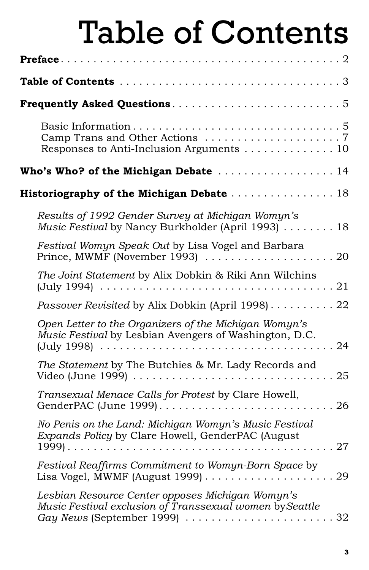# Table of Contents

| Responses to Anti-Inclusion Arguments 10                                                                              |
|-----------------------------------------------------------------------------------------------------------------------|
| Who's Who? of the Michigan Debate  14                                                                                 |
| Historiography of the Michigan Debate  18                                                                             |
| Results of 1992 Gender Survey at Michigan Womyn's<br>Music Festival by Nancy Burkholder (April 1993) 18               |
| Festival Womyn Speak Out by Lisa Vogel and Barbara<br>Prince, MWMF (November 1993)<br>.20                             |
| The Joint Statement by Alix Dobkin & Riki Ann Wilchins                                                                |
| Passover Revisited by Alix Dobkin (April 1998) 22                                                                     |
| Open Letter to the Organizers of the Michigan Womyn's<br>Music Festival by Lesbian Avengers of Washington, D.C.<br>24 |
| The Statement by The Butchies & Mr. Lady Records and<br>Video (June 1999)<br>.25                                      |
| Transexual Menace Calls for Protest by Clare Howell,                                                                  |
| No Penis on the Land: Michigan Womyn's Music Festival<br>Expands Policy by Clare Howell, GenderPAC (August<br>.27     |
| Festival Reaffirms Commitment to Womyn-Born Space by                                                                  |
| Lesbian Resource Center opposes Michigan Womyn's<br>Music Festival exclusion of Transsexual women by Seattle          |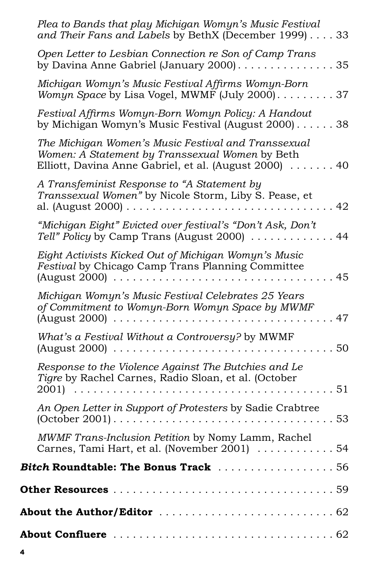| Plea to Bands that play Michigan Womyn's Music Festival<br>and Their Fans and Labels by BethX (December 1999) 33                                                 |
|------------------------------------------------------------------------------------------------------------------------------------------------------------------|
| Open Letter to Lesbian Connection re Son of Camp Trans                                                                                                           |
| Michigan Womyn's Music Festival Affirms Womyn-Born<br>Womyn Space by Lisa Vogel, MWMF (July 2000) 37                                                             |
| Festival Affirms Womyn-Born Womyn Policy: A Handout<br>by Michigan Womyn's Music Festival (August 2000) 38                                                       |
| The Michigan Women's Music Festival and Transsexual<br>Women: A Statement by Transsexual Women by Beth<br>Elliott, Davina Anne Gabriel, et al. (August 2000)  40 |
| A Transfeminist Response to "A Statement by<br>Transsexual Women" by Nicole Storm, Liby S. Pease, et                                                             |
| "Michigan Eight" Evicted over festival's "Don't Ask, Don't<br>Tell" Policy by Camp Trans (August 2000) 44                                                        |
| Eight Activists Kicked Out of Michigan Womyn's Music<br>Festival by Chicago Camp Trans Planning Committee<br>45                                                  |
| Michigan Womyn's Music Festival Celebrates 25 Years<br>of Commitment to Womyn-Born Womyn Space by MWMF                                                           |
| What's a Festival Without a Controversy? by MWMF<br>. 50                                                                                                         |
| Response to the Violence Against The Butchies and Le<br>Tigre by Rachel Carnes, Radio Sloan, et al. (October<br>.51                                              |
| An Open Letter in Support of Protesters by Sadie Crabtree<br>$(October 2001) 53$                                                                                 |
| MWMF Trans-Inclusion Petition by Nomy Lamm, Rachel<br>Carnes, Tami Hart, et al. (November 2001)  54                                                              |
| Bitch Roundtable: The Bonus Track 56                                                                                                                             |
|                                                                                                                                                                  |
|                                                                                                                                                                  |
|                                                                                                                                                                  |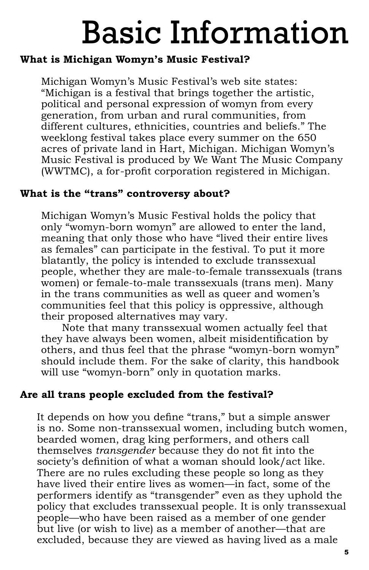# Basic Information

# **What is Michigan Womyn's Music Festival?**

Michigan Womyn's Music Festival's web site states: "Michigan is a festival that brings together the artistic, political and personal expression of womyn from every generation, from urban and rural communities, from different cultures, ethnicities, countries and beliefs." The weeklong festival takes place every summer on the 650 acres of private land in Hart, Michigan. Michigan Womyn's Music Festival is produced by We Want The Music Company (WWTMC), a for-profit corporation registered in Michigan.

# **What is the "trans" controversy about?**

Michigan Womyn's Music Festival holds the policy that only "womyn-born womyn" are allowed to enter the land, meaning that only those who have "lived their entire lives as females" can participate in the festival. To put it more blatantly, the policy is intended to exclude transsexual people, whether they are male-to-female transsexuals (trans women) or female-to-male transsexuals (trans men). Many in the trans communities as well as queer and women's communities feel that this policy is oppressive, although their proposed alternatives may vary.

Note that many transsexual women actually feel that they have always been women, albeit misidentification by others, and thus feel that the phrase "womyn-born womyn" should include them. For the sake of clarity, this handbook will use "womyn-born" only in quotation marks.

# **Are all trans people excluded from the festival?**

It depends on how you define "trans," but a simple answer is no. Some non-transsexual women, including butch women, bearded women, drag king performers, and others call themselves *transgender* because they do not fit into the society's definition of what a woman should look/act like. There are no rules excluding these people so long as they have lived their entire lives as women—in fact, some of the performers identify as "transgender" even as they uphold the policy that excludes transsexual people. It is only transsexual people —who have been raised as a member of one gender but live (or wish to live) as a member of another—that are excluded, because they are viewed as having lived as a male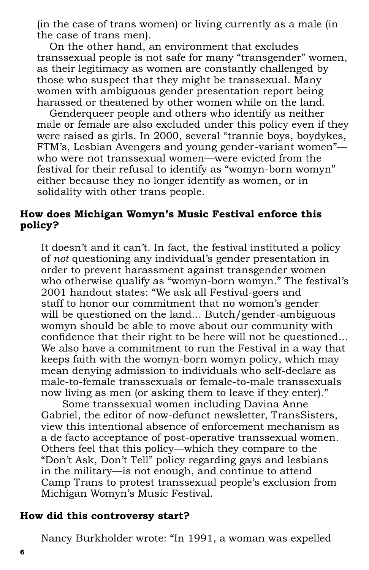(in the case of trans women) or living currently as a male (in the case of trans men).

On the other hand, an environment that excludes transsexual people is not safe for many "transgender" women, as their legitimacy as women are constantly challenged by those who suspect that they might be transsexual. Many women with ambiguous gender presentation report being harassed or theatened by other women while on the land.

Genderqueer people and others who identify as neither male or female are also excluded under this policy even if they were raised as girls. In 2000, several "trannie boys, boydykes, FTM's, Lesbian Avengers and young gender-variant women" who were not transsexual women—were evicted from the festival for their refusal to identify as "womyn-born womyn" either because they no longer identify as women, or in solidality with other trans people.

#### **How does Michigan Womyn's Music Festival enforce this policy?**

It doesn't and it can't. In fact, the festival instituted a policy of *not* questioning any individual's gender presentation in order to prevent harassment against transgender women who otherwise qualify as "womyn-born womyn." The festival's 2001 handout states: "We ask all Festival-goers and staff to honor our commitment that no womon's gender will be questioned on the land... Butch/gender-ambiguous womyn should be able to move about our community with confidence that their right to be here will not be questioned... We also have a commitment to run the Festival in a way that keeps faith with the womyn-born womyn policy, which may mean denying admission to individuals who self-declare as male-to-female transsexuals or female-to-male transsexuals now living as men (or asking them to leave if they enter)."

Some transsexual women including Davina Anne Gabriel, the editor of now-defunct newsletter, TransSisters, view this intentional absence of enforcement mechanism as a de facto acceptance of post-operative transsexual women. Others feel that this policy—which they compare to the "Don't Ask, Don't Tell" policy regarding gays and lesbians in the military—is not enough, and continue to attend Camp Trans to protest transsexual people's exclusion from Michigan Womyn's Music Festival.

#### **How did this controversy start?**

Nancy Burkholder wrote: "In 1991, a woman was expelled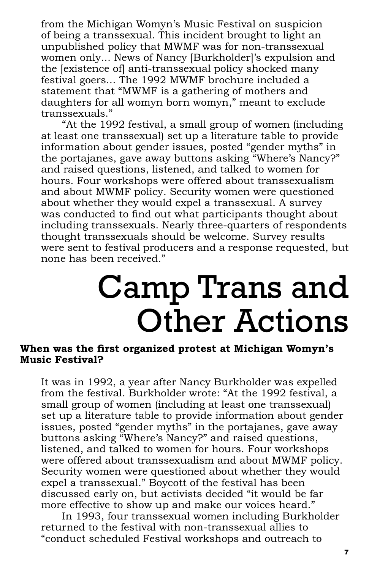from the Michigan Womyn's Music Festival on suspicion of being a transsexual. This incident brought to light an unpublished policy that MWMF was for non-transsexual women only... News of Nancy [Burkholder]'s expulsion and the [existence of] anti-transsexual policy shocked many festival goers... The 1992 MWMF brochure included a statement that "MWMF is a gathering of mothers and daughters for all womyn born womyn," meant to exclude transsexuals."

"At the 1992 festival, a small group of women (including at least one transsexual) set up a literature table to provide information about gender issues, posted "gender myths" in the portajanes, gave away buttons asking "Where's Nancy?" and raised questions, listened, and talked to women for hours. Four workshops were offered about transsexualism and about MWMF policy. Security women were questioned about whether they would expel a transsexual. A survey was conducted to find out what participants thought about including transsexuals. Nearly three-quarters of respondents thought transsexuals should be welcome. Survey results were sent to festival producers and a response requested, but none has been received."

# Camp Trans and Other Actions

#### When was the first organized protest at Michigan Womyn's **Music Festival?**

It was in 1992, a year after Nancy Burkholder was expelled from the festival. Burkholder wrote: "At the 1992 festival, a small group of women (including at least one transsexual) set up a literature table to provide information about gender issues, posted "gender myths" in the portajanes, gave away buttons asking "Where's Nancy?" and raised questions, listened, and talked to women for hours. Four workshops were offered about transsexualism and about MWMF policy. Security women were questioned about whether they would expel a transsexual." Boycott of the festival has been discussed early on, but activists decided "it would be far more effective to show up and make our voices heard."

In 1993, four transsexual women including Burkholder returned to the festival with non-transsexual allies to "conduct scheduled Festival workshops and outreach to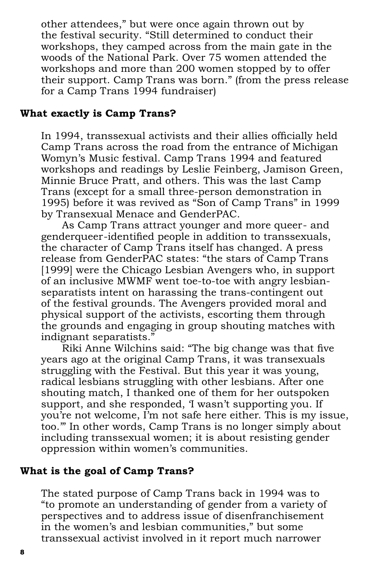other attendees," but were once again thrown out by the festival security. "Still determined to conduct their workshops, they camped across from the main gate in the woods of the National Park. Over 75 women attended the workshops and more than 200 women stopped by to offer their support. Camp Trans was born." (from the press release for a Camp Trans 1994 fundraiser)

#### **What exactly is Camp Trans?**

In 1994, transsexual activists and their allies officially held Camp Trans across the road from the entrance of Michigan Womyn's Music festival. Camp Trans 1994 and featured workshops and readings by Leslie Feinberg, Jamison Green, Minnie Bruce Pratt, and others. This was the last Camp Trans (except for a small three-person demonstration in 1995) before it was revived as "Son of Camp Trans" in 1999 by Transexual Menace and GenderPAC.

As Camp Trans attract younger and more queer- and genderqueer-identified people in addition to transsexuals, the character of Camp Trans itself has changed. A press release from GenderPAC states: "the stars of Camp Trans [1999] were the Chicago Lesbian Avengers who, in support of an inclusive MWMF went toe-to-toe with angry lesbianseparatists intent on harassing the trans-contingent out of the festival grounds. The Avengers provided moral and physical support of the activists, escorting them through the grounds and engaging in group shouting matches with indignant separatists."

Riki Anne Wilchins said: "The big change was that five years ago at the original Camp Trans, it was transexuals struggling with the Festival. But this year it was young, radical lesbians struggling with other lesbians. After one shouting match, I thanked one of them for her outspoken support, and she responded, 'I wasn't supporting you. If you're not welcome, I'm not safe here either. This is my issue, too.'" In other words, Camp Trans is no longer simply about including transsexual women; it is about resisting gender oppression within women's communities.

# **What is the goal of Camp Trans?**

The stated purpose of Camp Trans back in 1994 was to "to promote an understanding of gender from a variety of perspectives and to address issue of disenfranchisement in the women's and lesbian communities," but some transsexual activist involved in it report much narrower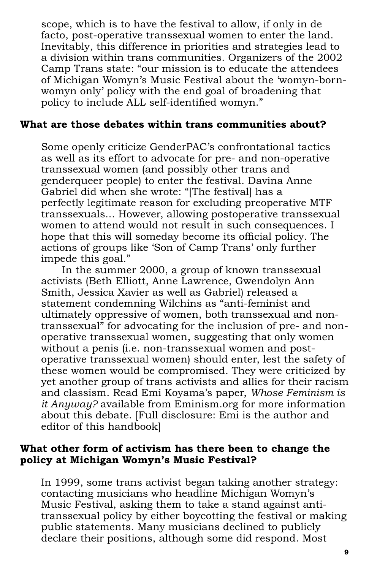scope, which is to have the festival to allow, if only in de facto, post-operative transsexual women to enter the land. Inevitably, this difference in priorities and strategies lead to a division within trans communities. Organizers of the 2002 Camp Trans state: "our mission is to educate the attendees of Michigan Womyn's Music Festival about the 'womyn-bornwomyn only' policy with the end goal of broadening that policy to include ALL self-identified womyn."

#### **What are those debates within trans communities about?**

Some openly criticize GenderPAC's confrontational tactics as well as its effort to advocate for pre- and non-operative transsexual women (and possibly other trans and genderqueer people) to enter the festival. Davina Anne Gabriel did when she wrote: "[The festival] has a perfectly legitimate reason for excluding preoperative MTF transsexuals... However, allowing postoperative transsexual women to attend would not result in such consequences. I hope that this will someday become its official policy. The actions of groups like 'Son of Camp Trans' only further impede this goal."

In the summer 2000, a group of known transsexual activists (Beth Elliott, Anne Lawrence, Gwendolyn Ann Smith, Jessica Xavier as well as Gabriel) released a statement condemning Wilchins as "anti-feminist and ultimately oppressive of women, both transsexual and nontranssexual" for advocating for the inclusion of pre- and nonoperative transsexual women, suggesting that only women without a penis (i.e. non-transsexual women and postoperative transsexual women) should enter, lest the safety of these women would be compromised. They were criticized by yet another group of trans activists and allies for their racism and classism. Read Emi Koyama's paper, *Whose Feminism is it Anyway?* available from Eminism.org for more information about this debate. [Full disclosure: Emi is the author and editor of this handbook]

# **What other form of activism has there been to change the policy at Michigan Womyn's Music Festival?**

In 1999, some trans activist began taking another strategy: contacting musicians who headline Michigan Womyn's Music Festival, asking them to take a stand against antitranssexual policy by either boycotting the festival or making public statements. Many musicians declined to publicly declare their positions, although some did respond. Most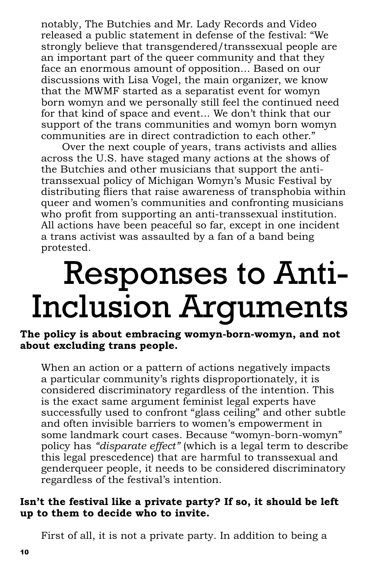notably, The Butchies and Mr. Lady Records and Video released a public statement in defense of the festival: "We strongly believe that transgendered/transsexual people are an important part of the queer community and that they face an enormous amount of opposition... Based on our discussions with Lisa Vogel, the main organizer, we know that the MWMF started as a separatist event for womyn born womyn and we personally still feel the continued need for that kind of space and event... We don't think that our support of the trans communities and womyn born womyn communities are in direct contradiction to each other."

Over the next couple of years, trans activists and allies across the U.S. have staged many actions at the shows of the Butchies and other musicians that support the antitranssexual policy of Michigan Womyn's Music Festival by distributing fliers that raise awareness of transphobia within queer and women's communities and confronting musicians who profit from supporting an anti-transsexual institution. All actions have been peaceful so far, except in one incident a trans activist was assaulted by a fan of a band being protested.

# Responses to Anti-Inclusion Arguments

**The policy is about embracing womyn-born-womyn, and not about excluding trans people.** 

When an action or a pattern of actions negatively impacts a particular community's rights disproportionately, it is considered discriminatory regardless of the intention. This is the exact same argument feminist legal experts have successfully used to confront "glass ceiling" and other subtle and often invisible barriers to women's empowerment in some landmark court cases. Because "womyn-born-womyn" policy has *"disparate effect"* (which is a legal term to describe this legal prescedence) that are harmful to transsexual and genderqueer people, it needs to be considered discriminatory regardless of the festival's intention.

# **Isn't the festival like a private party? If so, it should be left up to them to decide who to invite.**

First of all, it is not a private party. In addition to being a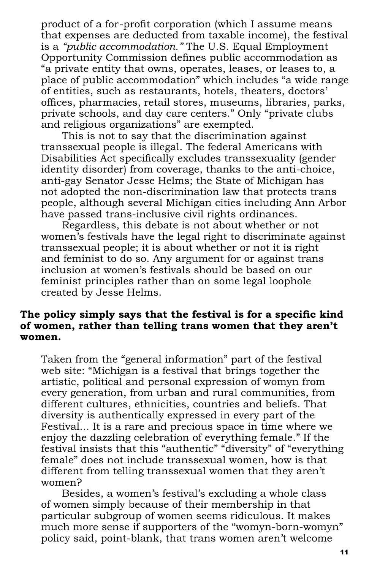product of a for-profit corporation (which I assume means that expenses are deducted from taxable income), the festival is a *"public accommodation."* The U.S. Equal Employment Opportunity Commission defines public accommodation as "a private entity that owns, operates, leases, or leases to, a place of public accommodation" which includes "a wide range of entities, such as restaurants, hotels, theaters, doctors' offices, pharmacies, retail stores, museums, libraries, parks, private schools, and day care centers." Only "private clubs and religious organizations" are exempted.

This is not to say that the discrimination against transsexual people is illegal. The federal Americans with Disabilities Act specifically excludes transsexuality (gender identity disorder) from coverage, thanks to the anti-choice, anti-gay Senator Jesse Helms; the State of Michigan has not adopted the non-discrimination law that protects trans people, although several Michigan cities including Ann Arbor have passed trans-inclusive civil rights ordinances.

Regardless, this debate is not about whether or not women's festivals have the legal right to discriminate against transsexual people; it is about whether or not it is right and feminist to do so. Any argument for or against trans inclusion at women's festivals should be based on our feminist principles rather than on some legal loophole created by Jesse Helms.

#### The policy simply says that the festival is for a specific kind **of women, rather than telling trans women that they aren't women.**

Taken from the "general information" part of the festival web site: "Michigan is a festival that brings together the artistic, political and personal expression of womyn from every generation, from urban and rural communities, from different cultures, ethnicities, countries and beliefs. That diversity is authentically expressed in every part of the Festival... It is a rare and precious space in time where we enjoy the dazzling celebration of everything female." If the festival insists that this "authentic" "diversity" of "everything female" does not include transsexual women, how is that different from telling transsexual women that they aren't women?

Besides, a women's festival's excluding a whole class of women simply because of their membership in that particular subgroup of women seems ridiculous. It makes much more sense if supporters of the "womyn-born-womyn" policy said, point-blank, that trans women aren't welcome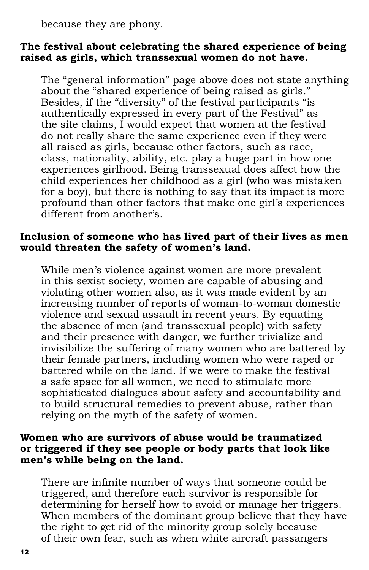because they are phony.

### **The festival about celebrating the shared experience of being raised as girls, which transsexual women do not have.**

The "general information" page above does not state anything about the "shared experience of being raised as girls." Besides, if the "diversity" of the festival participants "is authentically expressed in every part of the Festival" as the site claims, I would expect that women at the festival do not really share the same experience even if they were all raised as girls, because other factors, such as race, class, nationality, ability, etc. play a huge part in how one experiences girlhood. Being transsexual does affect how the child experiences her childhood as a girl (who was mistaken for a boy), but there is nothing to say that its impact is more profound than other factors that make one girl's experiences different from another's.

#### **Inclusion of someone who has lived part of their lives as men would threaten the safety of women's land.**

While men's violence against women are more prevalent in this sexist society, women are capable of abusing and violating other women also, as it was made evident by an increasing number of reports of woman-to-woman domestic violence and sexual assault in recent years. By equating the absence of men (and transsexual people) with safety and their presence with danger, we further trivialize and invisibilize the suffering of many women who are battered by their female partners, including women who were raped or battered while on the land. If we were to make the festival a safe space for all women, we need to stimulate more sophisticated dialogues about safety and accountability and to build structural remedies to prevent abuse, rather than relying on the myth of the safety of women.

#### **Women who are survivors of abuse would be traumatized or triggered if they see people or body parts that look like men's while being on the land.**

There are infinite number of ways that someone could be triggered, and therefore each survivor is responsible for determining for herself how to avoid or manage her triggers. When members of the dominant group believe that they have the right to get rid of the minority group solely because of their own fear, such as when white aircraft passangers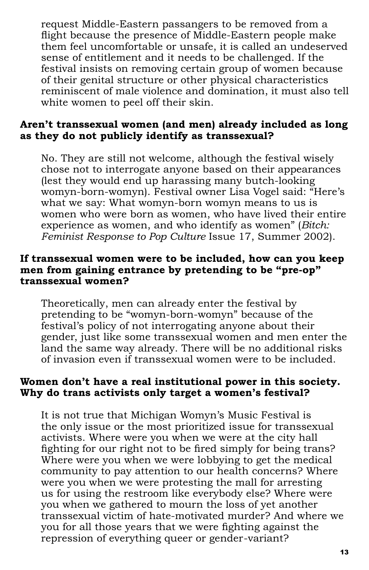request Middle-Eastern passangers to be removed from a flight because the presence of Middle-Eastern people make them feel uncomfortable or unsafe, it is called an undeserved sense of entitlement and it needs to be challenged. If the festival insists on removing certain group of women because of their genital structure or other physical characteristics reminiscent of male violence and domination, it must also tell white women to peel off their skin.

# **Aren't transsexual women (and men) already included as long as they do not publicly identify as transsexual?**

No. They are still not welcome, although the festival wisely chose not to interrogate anyone based on their appearances (lest they would end up harassing many butch-looking womyn-born-womyn). Festival owner Lisa Vogel said: "Here's what we say: What womyn-born womyn means to us is women who were born as women, who have lived their entire experience as women, and who identify as women" (*Bitch: Feminist Response to Pop Culture* Issue 17, Summer 2002).

#### **If transsexual women were to be included, how can you keep men from gaining entrance by pretending to be "pre-op" transsexual women?**

Theoretically, men can already enter the festival by pretending to be "womyn-born-womyn" because of the festival's policy of not interrogating anyone about their gender, just like some transsexual women and men enter the land the same way already. There will be no additional risks of invasion even if transsexual women were to be included.

# **Women don't have a real institutional power in this society. Why do trans activists only target a women's festival?**

It is not true that Michigan Womyn's Music Festival is the only issue or the most prioritized issue for transsexual activists. Where were you when we were at the city hall fighting for our right not to be fired simply for being trans? Where were you when we were lobbying to get the medical community to pay attention to our health concerns? Where were you when we were protesting the mall for arresting us for using the restroom like everybody else? Where were you when we gathered to mourn the loss of yet another transsexual victim of hate-motivated murder? And where we you for all those years that we were fighting against the repression of everything queer or gender-variant?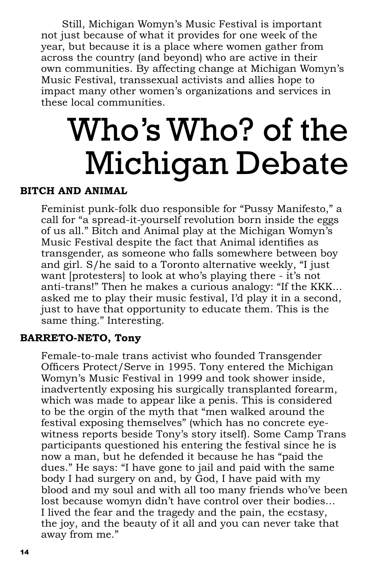Still, Michigan Womyn's Music Festival is important not just because of what it provides for one week of the year, but because it is a place where women gather from across the country (and beyond) who are active in their own communities. By affecting change at Michigan Womyn's Music Festival, transsexual activists and allies hope to impact many other women's organizations and services in these local communities.

# Who's Who? of the Michigan Debate

# **BITCH AND ANIMAL**

Feminist punk-folk duo responsible for "Pussy Manifesto," a call for "a spread-it-yourself revolution born inside the eggs of us all." Bitch and Animal play at the Michigan Womyn's Music Festival despite the fact that Animal identifies as transgender, as someone who falls somewhere between boy and girl. S/he said to a Toronto alternative weekly, "I just want [protesters] to look at who's playing there - it's not anti-trans!" Then he makes a curious analogy: "If the KKK... asked me to play their music festival, I'd play it in a second, just to have that opportunity to educate them. This is the same thing." Interesting.

#### **BARRETO-NETO, Tony**

Female-to-male trans activist who founded Transgender Officers Protect/Serve in 1995. Tony entered the Michigan Womyn's Music Festival in 1999 and took shower inside, inadvertently exposing his surgically transplanted forearm, which was made to appear like a penis. This is considered to be the orgin of the myth that "men walked around the festival exposing themselves" (which has no concrete eyewitness reports beside Tony's story itself). Some Camp Trans participants questioned his entering the festival since he is now a man, but he defended it because he has "paid the dues." He says: "I have gone to jail and paid with the same body I had surgery on and, by God, I have paid with my blood and my soul and with all too many friends who've been lost because womyn didn't have control over their bodies... I lived the fear and the tragedy and the pain, the ecstasy, the joy, and the beauty of it all and you can never take that away from me."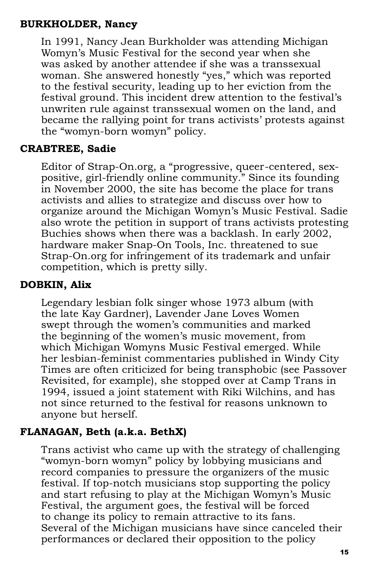# **BURKHOLDER, Nancy**

In 1991, Nancy Jean Burkholder was attending Michigan Womyn's Music Festival for the second year when she was asked by another attendee if she was a transsexual woman. She answered honestly "yes," which was reported to the festival security, leading up to her eviction from the festival ground. This incident drew attention to the festival's unwriten rule against transsexual women on the land, and became the rallying point for trans activists' protests against the "womyn-born womyn" policy.

# **CRABTREE, Sadie**

Editor of Strap-On.org, a "progressive, queer-centered, sexpositive, girl-friendly online community." Since its founding in November 2000, the site has become the place for trans activists and allies to strategize and discuss over how to organize around the Michigan Womyn's Music Festival. Sadie also wrote the petition in support of trans activists protesting Buchies shows when there was a backlash. In early 2002, hardware maker Snap-On Tools, Inc. threatened to sue Strap-On.org for infringement of its trademark and unfair competition, which is pretty silly.

# **DOBKIN, Alix**

Legendary lesbian folk singer whose 1973 album (with the late Kay Gardner), Lavender Jane Loves Women swept through the women's communities and marked the beginning of the women's music movement, from which Michigan Womyns Music Festival emerged. While her lesbian-feminist commentaries published in Windy City Times are often criticized for being transphobic (see Passover Revisited, for example), she stopped over at Camp Trans in 1994, issued a joint statement with Riki Wilchins, and has not since returned to the festival for reasons unknown to anyone but herself.

# **FLANAGAN, Beth (a.k.a. BethX)**

Trans activist who came up with the strategy of challenging "womyn-born womyn" policy by lobbying musicians and record companies to pressure the organizers of the music festival. If top-notch musicians stop supporting the policy and start refusing to play at the Michigan Womyn's Music Festival, the argument goes, the festival will be forced to change its policy to remain attractive to its fans. Several of the Michigan musicians have since canceled their performances or declared their opposition to the policy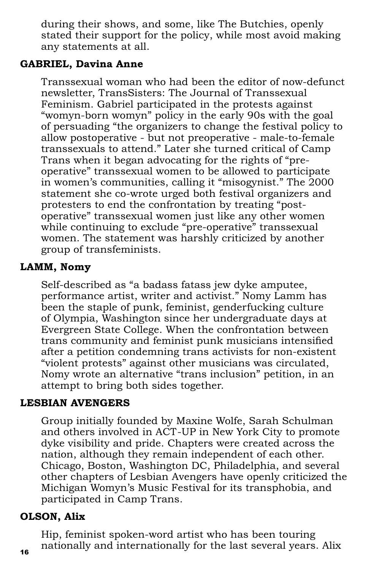during their shows, and some, like The Butchies, openly stated their support for the policy, while most avoid making any statements at all.

# **GABRIEL, Davina Anne**

Transsexual woman who had been the editor of now-defunct newsletter, TransSisters: The Journal of Transsexual Feminism. Gabriel participated in the protests against "womyn-born womyn" policy in the early 90s with the goal of persuading "the organizers to change the festival policy to allow postoperative - but not preoperative - male-to-female transsexuals to attend." Later she turned critical of Camp Trans when it began advocating for the rights of "preoperative" transsexual women to be allowed to participate in women's communities, calling it "misogynist." The 2000 statement she co-wrote urged both festival organizers and protesters to end the confrontation by treating "postoperative" transsexual women just like any other women while continuing to exclude "pre-operative" transsexual women. The statement was harshly criticized by another group of transfeminists.

# **LAMM, Nomy**

Self-described as "a badass fatass jew dyke amputee, performance artist, writer and activist." Nomy Lamm has been the staple of punk, feminist, genderfucking culture of Olympia, Washington since her undergraduate days at Evergreen State College. When the confrontation between trans community and feminist punk musicians intensified after a petition condemning trans activists for non-existent "violent protests" against other musicians was circulated, Nomy wrote an alternative "trans inclusion" petition, in an attempt to bring both sides together.

# **LESBIAN AVENGERS**

Group initially founded by Maxine Wolfe, Sarah Schulman and others involved in ACT-UP in New York City to promote dyke visibility and pride. Chapters were created across the nation, although they remain independent of each other. Chicago, Boston, Washington DC, Philadelphia, and several other chapters of Lesbian Avengers have openly criticized the Michigan Womyn's Music Festival for its transphobia, and participated in Camp Trans.

# **OLSON, Alix**

Hip, feminist spoken-word artist who has been touring nationally and internationally for the last several years. Alix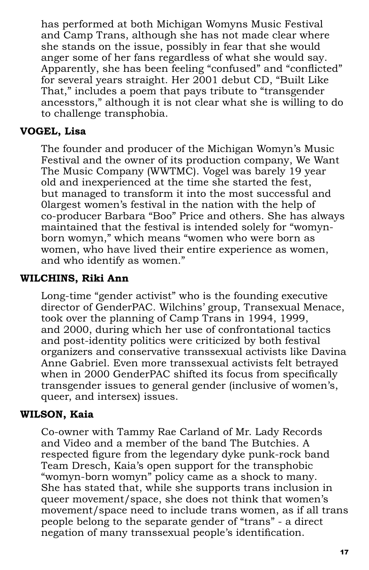has performed at both Michigan Womyns Music Festival and Camp Trans, although she has not made clear where she stands on the issue, possibly in fear that she would anger some of her fans regardless of what she would say. Apparently, she has been feeling "confused" and "conflicted" for several years straight. Her 2001 debut CD, "Built Like That," includes a poem that pays tribute to "transgender ancesstors," although it is not clear what she is willing to do to challenge transphobia.

### **VOGEL, Lisa**

The founder and producer of the Michigan Womyn's Music Festival and the owner of its production company, We Want The Music Company (WWTMC). Vogel was barely 19 year old and inexperienced at the time she started the fest, but managed to transform it into the most successful and 0largest women's festival in the nation with the help of co-producer Barbara "Boo" Price and others. She has always maintained that the festival is intended solely for "womynborn womyn," which means "women who were born as women, who have lived their entire experience as women, and who identify as women."

# **WILCHINS, Riki Ann**

Long-time "gender activist" who is the founding executive director of GenderPAC. Wilchins' group, Transexual Menace, took over the planning of Camp Trans in 1994, 1999, and 2000, during which her use of confrontational tactics and post-identity politics were criticized by both festival organizers and conservative transsexual activists like Davina Anne Gabriel. Even more transsexual activists felt betrayed when in 2000 GenderPAC shifted its focus from specifically transgender issues to general gender (inclusive of women's, queer, and intersex) issues.

# **WILSON, Kaia**

Co-owner with Tammy Rae Carland of Mr. Lady Records and Video and a member of the band The Butchies. A respected figure from the legendary dyke punk-rock band Team Dresch, Kaia's open support for the transphobic "womyn-born womyn" policy came as a shock to many. She has stated that, while she supports trans inclusion in queer movement/space, she does not think that women's movement/space need to include trans women, as if all trans people belong to the separate gender of "trans" - a direct negation of many transsexual people's identification.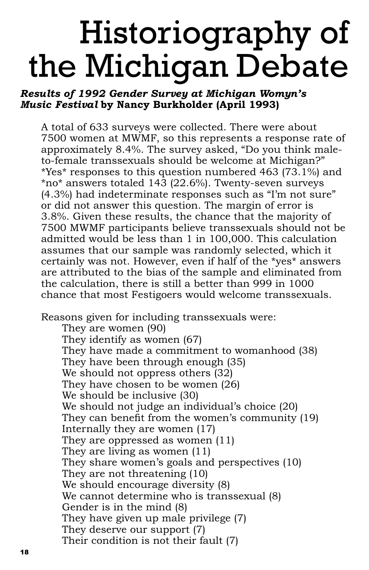# Historiography of the Michigan Debate

# *Results of 1992 Gender Survey at Michigan Womyn's Music Festival* **by Nancy Burkholder (April 1993)**

A total of 633 surveys were collected. There were about 7500 women at MWMF, so this represents a response rate of approximately 8.4%. The survey asked, "Do you think maleto-female transsexuals should be welcome at Michigan?" \*Yes\* responses to this question numbered 463 (73.1%) and \*no\* answers totaled 143 (22.6%). Twenty-seven surveys (4.3%) had indeterminate responses such as "I'm not sure" or did not answer this question. The margin of error is 3.8%. Given these results, the chance that the majority of 7500 MWMF participants believe transsexuals should not be admitted would be less than 1 in 100,000. This calculation assumes that our sample was randomly selected, which it certainly was not. However, even if half of the \*yes\* answers are attributed to the bias of the sample and eliminated from the calculation, there is still a better than 999 in 1000 chance that most Festigoers would welcome transsexuals.

Reasons given for including transsexuals were:

They are women (90) They identify as women (67) They have made a commitment to womanhood (38) They have been through enough (35) We should not oppress others (32) They have chosen to be women (26) We should be inclusive (30) We should not judge an individual's choice (20) They can benefit from the women's community (19) Internally they are women (17) They are oppressed as women (11) They are living as women (11) They share women's goals and perspectives (10) They are not threatening (10) We should encourage diversity (8) We cannot determine who is transsexual (8) Gender is in the mind (8) They have given up male privilege (7) They deserve our support (7) Their condition is not their fault (7)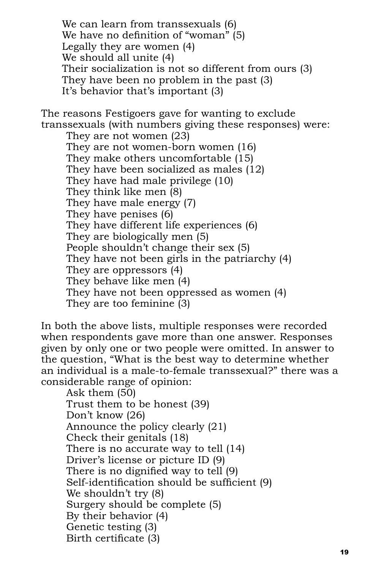We can learn from transsexuals (6) We have no definition of "woman" (5) Legally they are women (4) We should all unite (4) Their socialization is not so different from ours (3) They have been no problem in the past (3) It's behavior that's important (3)

The reasons Festigoers gave for wanting to exclude transsexuals (with numbers giving these responses) were:

They are not women (23) They are not women-born women (16) They make others uncomfortable (15) They have been socialized as males (12) They have had male privilege (10) They think like men (8) They have male energy (7) They have penises (6) They have different life experiences (6) They are biologically men (5) People shouldn't change their sex (5) They have not been girls in the patriarchy (4) They are oppressors (4) They behave like men (4) They have not been oppressed as women (4) They are too feminine (3)

In both the above lists, multiple responses were recorded when respondents gave more than one answer. Responses given by only one or two people were omitted. In answer to the question, "What is the best way to determine whether an individual is a male-to-female transsexual?" there was a considerable range of opinion:

Ask them (50) Trust them to be honest (39) Don't know (26) Announce the policy clearly (21) Check their genitals (18) There is no accurate way to tell (14) Driver's license or picture ID (9) There is no dignified way to tell (9) Self-identification should be sufficient (9) We shouldn't try (8) Surgery should be complete (5) By their behavior (4) Genetic testing (3) Birth certificate (3)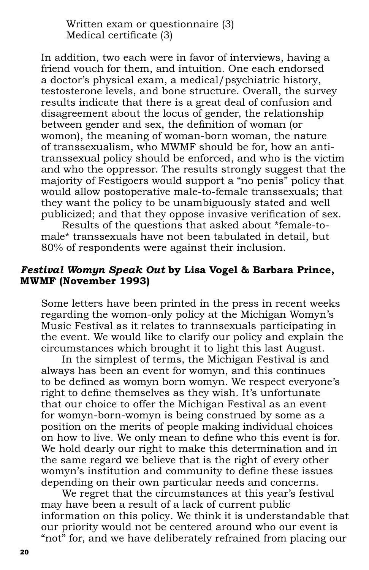Written exam or questionnaire (3) Medical certificate  $(3)$ 

In addition, two each were in favor of interviews, having a friend vouch for them, and intuition. One each endorsed a doctor's physical exam, a medical/psychiatric history, testosterone levels, and bone structure. Overall, the survey results indicate that there is a great deal of confusion and disagreement about the locus of gender, the relationship between gender and sex, the definition of woman (or womon), the meaning of woman-born woman, the nature of transsexualism, who MWMF should be for, how an antitranssexual policy should be enforced, and who is the victim and who the oppressor. The results strongly suggest that the majority of Festigoers would support a "no penis" policy that would allow postoperative male-to-female transsexuals; that they want the policy to be unambiguously stated and well publicized; and that they oppose invasive verification of sex.

Results of the questions that asked about \*female-tomale\* transsexuals have not been tabulated in detail, but 80% of respondents were against their inclusion.

#### *Festival Womyn Speak Out* **by Lisa Vogel & Barbara Prince, MWMF (November 1993)**

Some letters have been printed in the press in recent weeks regarding the womon-only policy at the Michigan Womyn's Music Festival as it relates to trannsexuals participating in the event. We would like to clarify our policy and explain the circumstances which brought it to light this last August.

In the simplest of terms, the Michigan Festival is and always has been an event for womyn, and this continues to be defined as womyn born womyn. We respect everyone's right to define themselves as they wish. It's unfortunate that our choice to offer the Michigan Festival as an event for womyn-born-womyn is being construed by some as a position on the merits of people making individual choices on how to live. We only mean to define who this event is for. We hold dearly our right to make this determination and in the same regard we believe that is the right of every other womyn's institution and community to define these issues depending on their own particular needs and concerns.

We regret that the circumstances at this year's festival may have been a result of a lack of current public information on this policy. We think it is understandable that our priority would not be centered around who our event is "not" for, and we have deliberately refrained from placing our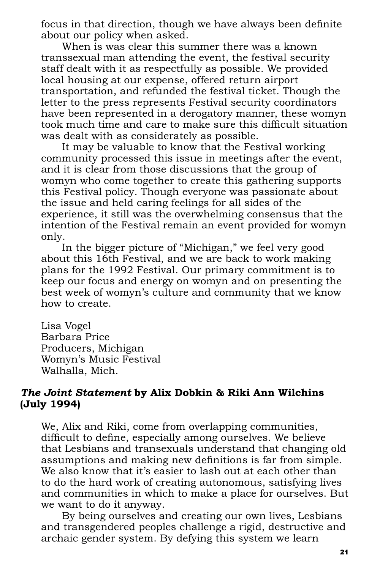focus in that direction, though we have always been definite about our policy when asked.

When is was clear this summer there was a known transsexual man attending the event, the festival security staff dealt with it as respectfully as possible. We provided local housing at our expense, offered return airport transportation, and refunded the festival ticket. Though the letter to the press represents Festival security coordinators have been represented in a derogatory manner, these womyn took much time and care to make sure this difficult situation was dealt with as considerately as possible.

It may be valuable to know that the Festival working community processed this issue in meetings after the event, and it is clear from those discussions that the group of womyn who come together to create this gathering supports this Festival policy. Though everyone was passionate about the issue and held caring feelings for all sides of the experience, it still was the overwhelming consensus that the intention of the Festival remain an event provided for womyn only.

In the bigger picture of "Michigan," we feel very good about this 16th Festival, and we are back to work making plans for the 1992 Festival. Our primary commitment is to keep our focus and energy on womyn and on presenting the best week of womyn's culture and community that we know how to create.

Lisa Vogel Barbara Price Producers, Michigan Womyn's Music Festival Walhalla, Mich.

#### *The Joint Statement* **by Alix Dobkin & Riki Ann Wilchins (July 1994)**

We, Alix and Riki, come from overlapping communities, difficult to define, especially among ourselves. We believe that Lesbians and transexuals understand that changing old assumptions and making new definitions is far from simple. We also know that it's easier to lash out at each other than to do the hard work of creating autonomous, satisfying lives and communities in which to make a place for ourselves. But we want to do it anyway.

By being ourselves and creating our own lives, Lesbians and transgendered peoples challenge a rigid, destructive and archaic gender system. By defying this system we learn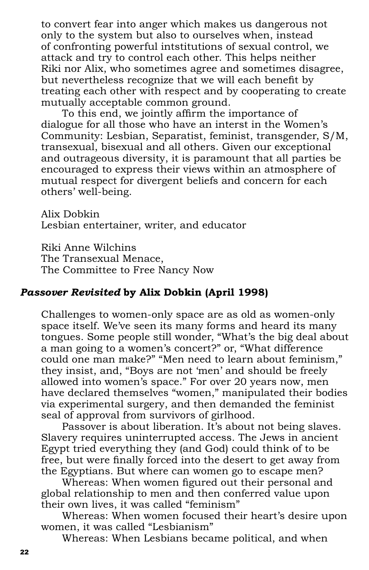to convert fear into anger which makes us dangerous not only to the system but also to ourselves when, instead of confronting powerful intstitutions of sexual control, we attack and try to control each other. This helps neither Riki nor Alix, who sometimes agree and sometimes disagree, but nevertheless recognize that we will each benefit by treating each other with respect and by cooperating to create mutually acceptable common ground.

To this end, we jointly affirm the importance of dialogue for all those who have an interst in the Women's Community: Lesbian, Separatist, feminist, transgender, S/M, transexual, bisexual and all others. Given our exceptional and outrageous diversity, it is paramount that all parties be encouraged to express their views within an atmosphere of mutual respect for divergent beliefs and concern for each others' well-being.

Alix Dobkin Lesbian entertainer, writer, and educator

Riki Anne Wilchins The Transexual Menace, The Committee to Free Nancy Now

# *Passover Revisited* **by Alix Dobkin (April 1998)**

Challenges to women-only space are as old as women-only space itself. We've seen its many forms and heard its many tongues. Some people still wonder, "What's the big deal about a man going to a women's concert?" or, "What difference could one man make?" "Men need to learn about feminism," they insist, and, "Boys are not 'men' and should be freely allowed into women's space." For over 20 years now, men have declared themselves "women," manipulated their bodies via experimental surgery, and then demanded the feminist seal of approval from survivors of girlhood.

Passover is about liberation. It's about not being slaves. Slavery requires uninterrupted access. The Jews in ancient Egypt tried everything they (and God) could think of to be free, but were finally forced into the desert to get away from the Egyptians. But where can women go to escape men?

Whereas: When women figured out their personal and global relationship to men and then conferred value upon their own lives, it was called "feminism"

Whereas: When women focused their heart's desire upon women, it was called "Lesbianism"

Whereas: When Lesbians became political, and when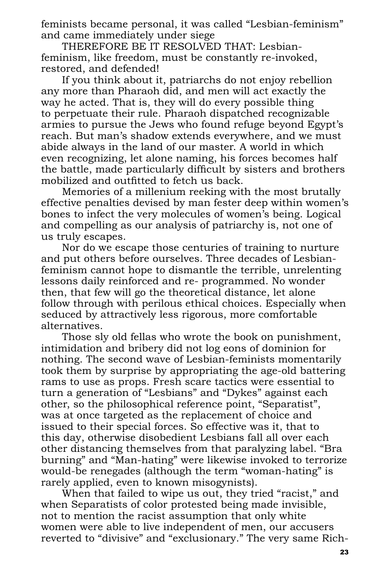feminists became personal, it was called "Lesbian-feminism" and came immediately under siege

THEREFORE BE IT RESOLVED THAT: Lesbianfeminism, like freedom, must be constantly re-invoked, restored, and defended!

If you think about it, patriarchs do not enjoy rebellion any more than Pharaoh did, and men will act exactly the way he acted. That is, they will do every possible thing to perpetuate their rule. Pharaoh dispatched recognizable armies to pursue the Jews who found refuge beyond Egypt's reach. But man's shadow extends everywhere, and we must abide always in the land of our master. A world in which even recognizing, let alone naming, his forces becomes half the battle, made particularly difficult by sisters and brothers mobilized and outfitted to fetch us back.

Memories of a millenium reeking with the most brutally effective penalties devised by man fester deep within women's bones to infect the very molecules of women's being. Logical and compelling as our analysis of patriarchy is, not one of us truly escapes.

Nor do we escape those centuries of training to nurture and put others before ourselves. Three decades of Lesbianfeminism cannot hope to dismantle the terrible, unrelenting lessons daily reinforced and re- programmed. No wonder then, that few will go the theoretical distance, let alone follow through with perilous ethical choices. Especially when seduced by attractively less rigorous, more comfortable alternatives.

Those sly old fellas who wrote the book on punishment, intimidation and bribery did not log eons of dominion for nothing. The second wave of Lesbian-feminists momentarily took them by surprise by appropriating the age-old battering rams to use as props. Fresh scare tactics were essential to turn a generation of "Lesbians" and "Dykes" against each other, so the philosophical reference point, "Separatist", was at once targeted as the replacement of choice and issued to their special forces. So effective was it, that to this day, otherwise disobedient Lesbians fall all over each other distancing themselves from that paralyzing label. "Bra burning" and "Man-hating" were likewise invoked to terrorize would-be renegades (although the term "woman-hating" is rarely applied, even to known misogynists).

When that failed to wipe us out, they tried "racist," and when Separatists of color protested being made invisible, not to mention the racist assumption that only white women were able to live independent of men, our accusers reverted to "divisive" and "exclusionary." The very same Rich-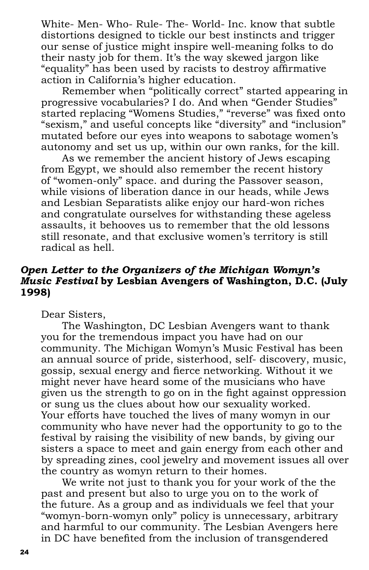White- Men- Who- Rule- The- World- Inc. know that subtle distortions designed to tickle our best instincts and trigger our sense of justice might inspire well-meaning folks to do their nasty job for them. It's the way skewed jargon like "equality" has been used by racists to destroy affirmative action in California's higher education.

Remember when "politically correct" started appearing in progressive vocabularies? I do. And when "Gender Studies" started replacing "Womens Studies," "reverse" was fixed onto "sexism," and useful concepts like "diversity" and "inclusion" mutated before our eyes into weapons to sabotage women's autonomy and set us up, within our own ranks, for the kill.

As we remember the ancient history of Jews escaping from Egypt, we should also remember the recent history of "women-only" space. and during the Passover season, while visions of liberation dance in our heads, while Jews and Lesbian Separatists alike enjoy our hard-won riches and congratulate ourselves for withstanding these ageless assaults, it behooves us to remember that the old lessons still resonate, and that exclusive women's territory is still radical as hell.

### *Open Letter to the Organizers of the Michigan Womyn's Music Festival* **by Lesbian Avengers of Washington, D.C. (July 1998)**

Dear Sisters,

The Washington, DC Lesbian Avengers want to thank you for the tremendous impact you have had on our community. The Michigan Womyn's Music Festival has been an annual source of pride, sisterhood, self- discovery, music, gossip, sexual energy and fierce networking. Without it we might never have heard some of the musicians who have given us the strength to go on in the fight against oppression or sung us the clues about how our sexuality worked. Your efforts have touched the lives of many womyn in our community who have never had the opportunity to go to the festival by raising the visibility of new bands, by giving our sisters a space to meet and gain energy from each other and by spreading zines, cool jewelry and movement issues all over the country as womyn return to their homes.

We write not just to thank you for your work of the the past and present but also to urge you on to the work of the future. As a group and as individuals we feel that your "womyn-born-womyn only" policy is unnecessary, arbitrary and harmful to our community. The Lesbian Avengers here in DC have benefited from the inclusion of transgendered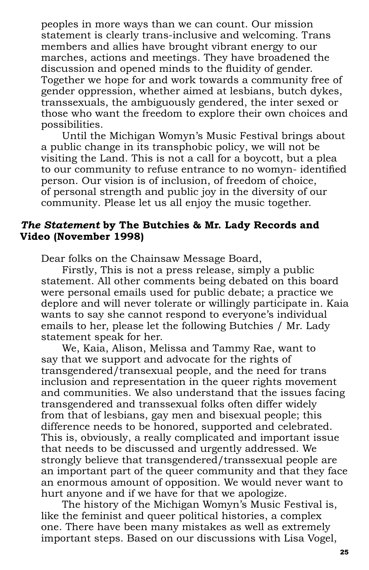peoples in more ways than we can count. Our mission statement is clearly trans-inclusive and welcoming. Trans members and allies have brought vibrant energy to our marches, actions and meetings. They have broadened the discussion and opened minds to the fluidity of gender. Together we hope for and work towards a community free of gender oppression, whether aimed at lesbians, butch dykes, transsexuals, the ambiguously gendered, the inter sexed or those who want the freedom to explore their own choices and possibilities.

Until the Michigan Womyn's Music Festival brings about a public change in its transphobic policy, we will not be visiting the Land. This is not a call for a boycott, but a plea to our community to refuse entrance to no womyn- identified person. Our vision is of inclusion, of freedom of choice, of personal strength and public joy in the diversity of our community. Please let us all enjoy the music together.

#### *The Statement* **by The Butchies & Mr. Lady Records and Video (November 1998)**

Dear folks on the Chainsaw Message Board,

Firstly, This is not a press release, simply a public statement. All other comments being debated on this board were personal emails used for public debate; a practice we deplore and will never tolerate or willingly participate in. Kaia wants to say she cannot respond to everyone's individual emails to her, please let the following Butchies / Mr. Lady statement speak for her.

We, Kaia, Alison, Melissa and Tammy Rae, want to say that we support and advocate for the rights of transgendered/transexual people, and the need for trans inclusion and representation in the queer rights movement and communities. We also understand that the issues facing transgendered and transsexual folks often differ widely from that of lesbians, gay men and bisexual people; this difference needs to be honored, supported and celebrated. This is, obviously, a really complicated and important issue that needs to be discussed and urgently addressed. We strongly believe that transgendered/transsexual people are an important part of the queer community and that they face an enormous amount of opposition. We would never want to hurt anyone and if we have for that we apologize.

The history of the Michigan Womyn's Music Festival is, like the feminist and queer political histories, a complex one. There have been many mistakes as well as extremely important steps. Based on our discussions with Lisa Vogel,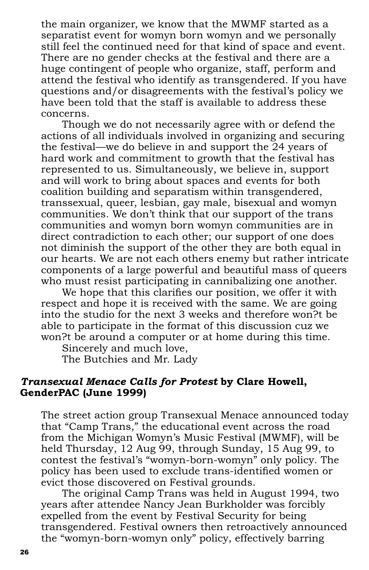the main organizer, we know that the MWMF started as a separatist event for womyn born womyn and we personally still feel the continued need for that kind of space and event. There are no gender checks at the festival and there are a huge contingent of people who organize, staff, perform and attend the festival who identify as transgendered. If you have questions and/or disagreements with the festival's policy we have been told that the staff is available to address these concerns.

Though we do not necessarily agree with or defend the actions of all individuals involved in organizing and securing the festival—we do believe in and support the 24 years of hard work and commitment to growth that the festival has represented to us. Simultaneously, we believe in, support and will work to bring about spaces and events for both coalition building and separatism within transgendered, transsexual, queer, lesbian, gay male, bisexual and womyn communities. We don't think that our support of the trans communities and womyn born womyn communities are in direct contradiction to each other; our support of one does not diminish the support of the other they are both equal in our hearts. We are not each others enemy but rather intricate components of a large powerful and beautiful mass of queers who must resist participating in cannibalizing one another.

We hope that this clarifies our position, we offer it with respect and hope it is received with the same. We are going into the studio for the next 3 weeks and therefore won?t be able to participate in the format of this discussion cuz we won?t be around a computer or at home during this time.

Sincerely and much love,

The Butchies and Mr. Lady

#### *Transexual Menace Calls for Protest* **by Clare Howell, GenderPAC (June 1999)**

The street action group Transexual Menace announced today that "Camp Trans," the educational event across the road from the Michigan Womyn's Music Festival (MWMF), will be held Thursday, 12 Aug 99, through Sunday, 15 Aug 99, to contest the festival's "womyn-born-womyn" only policy. The policy has been used to exclude trans-identified women or evict those discovered on Festival grounds.

The original Camp Trans was held in August 1994, two years after attendee Nancy Jean Burkholder was forcibly expelled from the event by Festival Security for being transgendered. Festival owners then retroactively announced the "womyn-born-womyn only" policy, effectively barring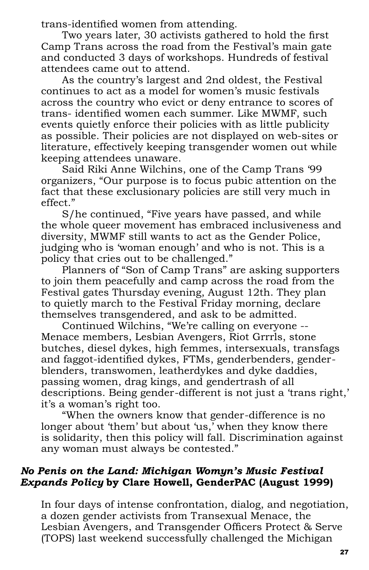trans-identified women from attending.

Two years later, 30 activists gathered to hold the first Camp Trans across the road from the Festival's main gate and conducted 3 days of workshops. Hundreds of festival attendees came out to attend.

As the country's largest and 2nd oldest, the Festival continues to act as a model for women's music festivals across the country who evict or deny entrance to scores of trans- identified women each summer. Like MWMF, such events quietly enforce their policies with as little publicity as possible. Their policies are not displayed on web-sites or literature, effectively keeping transgender women out while keeping attendees unaware.

Said Riki Anne Wilchins, one of the Camp Trans '99 organizers, "Our purpose is to focus pubic attention on the fact that these exclusionary policies are still very much in effect."

S/he continued, "Five years have passed, and while the whole queer movement has embraced inclusiveness and diversity, MWMF still wants to act as the Gender Police, judging who is 'woman enough' and who is not. This is a policy that cries out to be challenged."

Planners of "Son of Camp Trans" are asking supporters to join them peacefully and camp across the road from the Festival gates Thursday evening, August 12th. They plan to quietly march to the Festival Friday morning, declare themselves transgendered, and ask to be admitted.

Continued Wilchins, "We're calling on everyone -- Menace members, Lesbian Avengers, Riot Grrrls, stone butches, diesel dykes, high femmes, intersexuals, transfags and faggot-identified dykes, FTMs, genderbenders, genderblenders, transwomen, leatherdykes and dyke daddies, passing women, drag kings, and gendertrash of all descriptions. Being gender-different is not just a 'trans right,' it's a woman's right too.

"When the owners know that gender-difference is no longer about 'them' but about 'us, when they know there is solidarity, then this policy will fall. Discrimination against any woman must always be contested."

# *No Penis on the Land: Michigan Womyn's Music Festival Expands Policy* **by Clare Howell, GenderPAC (August 1999)**

In four days of intense confrontation, dialog, and negotiation, a dozen gender activists from Transexual Menace, the Lesbian Avengers, and Transgender Officers Protect & Serve (TOPS) last weekend successfully challenged the Michigan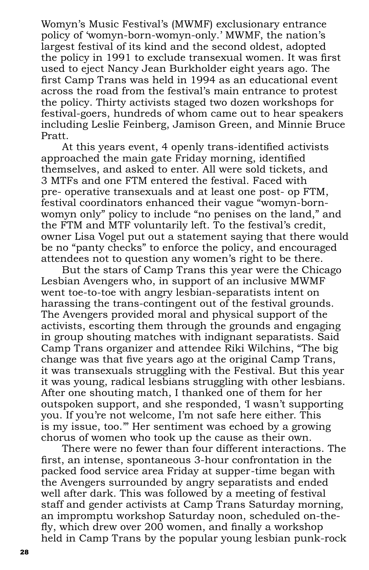Womyn's Music Festival's (MWMF) exclusionary entrance policy of 'womyn-born-womyn-only.' MWMF, the nation's largest festival of its kind and the second oldest, adopted the policy in 1991 to exclude transexual women. It was first used to eject Nancy Jean Burkholder eight years ago. The first Camp Trans was held in 1994 as an educational event across the road from the festival's main entrance to protest the policy. Thirty activists staged two dozen workshops for festival-goers, hundreds of whom came out to hear speakers including Leslie Feinberg, Jamison Green, and Minnie Bruce Pratt.

At this years event, 4 openly trans-identified activists approached the main gate  $\overline{F}$ riday morning, identified themselves, and asked to enter. All were sold tickets, and 3 MTFs and one FTM entered the festival. Faced with pre- operative transexuals and at least one post- op FTM, festival coordinators enhanced their vague "womyn-bornwomyn only" policy to include "no penises on the land," and the FTM and MTF voluntarily left. To the festival's credit, owner Lisa Vogel put out a statement saying that there would be no "panty checks" to enforce the policy, and encouraged attendees not to question any women's right to be there.

But the stars of Camp Trans this year were the Chicago Lesbian Avengers who, in support of an inclusive MWMF went toe-to-toe with angry lesbian-separatists intent on harassing the trans-contingent out of the festival grounds. The Avengers provided moral and physical support of the activists, escorting them through the grounds and engaging in group shouting matches with indignant separatists. Said Camp Trans organizer and attendee Riki Wilchins, "The big change was that five years ago at the original Camp Trans, it was transexuals struggling with the Festival. But this year it was young, radical lesbians struggling with other lesbians. After one shouting match, I thanked one of them for her outspoken support, and she responded, 'I wasn't supporting you. If you're not welcome, I'm not safe here either. This is my issue, too.'" Her sentiment was echoed by a growing chorus of women who took up the cause as their own.

There were no fewer than four different interactions. The first, an intense, spontaneous 3-hour confrontation in the packed food service area Friday at supper-time began with the Avengers surrounded by angry separatists and ended well after dark. This was followed by a meeting of festival staff and gender activists at Camp Trans Saturday morning, an impromptu workshop Saturday noon, scheduled on-thefly, which drew over  $200$  women, and finally a workshop held in Camp Trans by the popular young lesbian punk-rock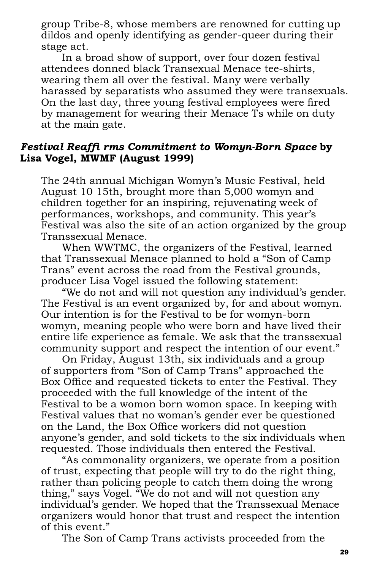group Tribe-8, whose members are renowned for cutting up dildos and openly identifying as gender-queer during their stage act.

In a broad show of support, over four dozen festival attendees donned black Transexual Menace tee-shirts, wearing them all over the festival. Many were verbally harassed by separatists who assumed they were transexuals. On the last day, three young festival employees were fired by management for wearing their Menace Ts while on duty at the main gate.

#### *Festival Reaffi rms Commitment to Womyn-Born Space* **by Lisa Vogel, MWMF (August 1999)**

The 24th annual Michigan Womyn's Music Festival, held August 10 15th, brought more than 5,000 womyn and children together for an inspiring, rejuvenating week of performances, workshops, and community. This year's Festival was also the site of an action organized by the group Transsexual Menace.

When WWTMC, the organizers of the Festival, learned that Transsexual Menace planned to hold a "Son of Camp Trans" event across the road from the Festival grounds, producer Lisa Vogel issued the following statement:

"We do not and will not question any individual's gender. The Festival is an event organized by, for and about womyn. Our intention is for the Festival to be for womyn-born womyn, meaning people who were born and have lived their entire life experience as female. We ask that the transsexual community support and respect the intention of our event."

On Friday, August 13th, six individuals and a group of supporters from "Son of Camp Trans" approached the Box Office and requested tickets to enter the Festival. They proceeded with the full knowledge of the intent of the Festival to be a womon born womon space. In keeping with Festival values that no woman's gender ever be questioned on the Land, the Box Office workers did not question anyone's gender, and sold tickets to the six individuals when requested. Those individuals then entered the Festival.

"As commonality organizers, we operate from a position of trust, expecting that people will try to do the right thing, rather than policing people to catch them doing the wrong thing," says Vogel. "We do not and will not question any individual's gender. We hoped that the Transsexual Menace organizers would honor that trust and respect the intention of this event."

The Son of Camp Trans activists proceeded from the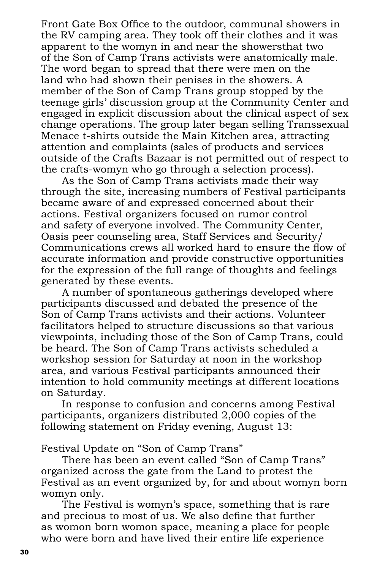Front Gate Box Office to the outdoor, communal showers in the RV camping area. They took off their clothes and it was apparent to the womyn in and near the showersthat two of the Son of Camp Trans activists were anatomically male. The word began to spread that there were men on the land who had shown their penises in the showers. A member of the Son of Camp Trans group stopped by the teenage girls' discussion group at the Community Center and engaged in explicit discussion about the clinical aspect of sex change operations. The group later began selling Transsexual Menace t-shirts outside the Main Kitchen area, attracting attention and complaints (sales of products and services outside of the Crafts Bazaar is not permitted out of respect to the crafts-womyn who go through a selection process).

As the Son of Camp Trans activists made their way through the site, increasing numbers of Festival participants became aware of and expressed concerned about their actions. Festival organizers focused on rumor control and safety of everyone involved. The Community Center, Oasis peer counseling area, Staff Services and Security/ Communications crews all worked hard to ensure the flow of accurate information and provide constructive opportunities for the expression of the full range of thoughts and feelings generated by these events.

A number of spontaneous gatherings developed where participants discussed and debated the presence of the Son of Camp Trans activists and their actions. Volunteer facilitators helped to structure discussions so that various viewpoints, including those of the Son of Camp Trans, could be heard. The Son of Camp Trans activists scheduled a workshop session for Saturday at noon in the workshop area, and various Festival participants announced their intention to hold community meetings at different locations on Saturday.

In response to confusion and concerns among Festival participants, organizers distributed 2,000 copies of the following statement on Friday evening, August 13:

Festival Update on "Son of Camp Trans"

There has been an event called "Son of Camp Trans" organized across the gate from the Land to protest the Festival as an event organized by, for and about womyn born womyn only.

The Festival is womyn's space, something that is rare and precious to most of us. We also define that further as womon born womon space, meaning a place for people who were born and have lived their entire life experience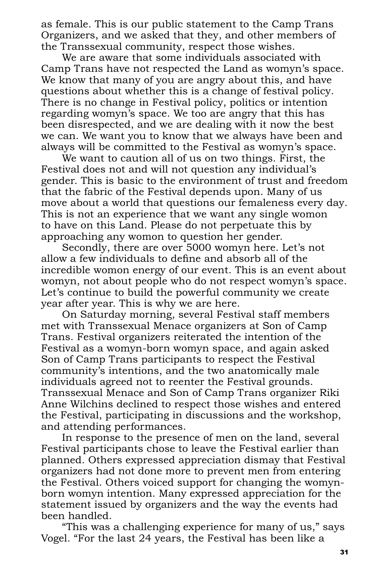as female. This is our public statement to the Camp Trans Organizers, and we asked that they, and other members of the Transsexual community, respect those wishes.

We are aware that some individuals associated with Camp Trans have not respected the Land as womyn's space. We know that many of you are angry about this, and have questions about whether this is a change of festival policy. There is no change in Festival policy, politics or intention regarding womyn's space. We too are angry that this has been disrespected, and we are dealing with it now the best we can. We want you to know that we always have been and always will be committed to the Festival as womyn's space.

We want to caution all of us on two things. First, the Festival does not and will not question any individual's gender. This is basic to the environment of trust and freedom that the fabric of the Festival depends upon. Many of us move about a world that questions our femaleness every day. This is not an experience that we want any single womon to have on this Land. Please do not perpetuate this by approaching any womon to question her gender.

Secondly, there are over 5000 womyn here. Let's not allow a few individuals to define and absorb all of the incredible womon energy of our event. This is an event about womyn, not about people who do not respect womyn's space. Let's continue to build the powerful community we create year after year. This is why we are here.

On Saturday morning, several Festival staff members met with Transsexual Menace organizers at Son of Camp Trans. Festival organizers reiterated the intention of the Festival as a womyn-born womyn space, and again asked Son of Camp Trans participants to respect the Festival community's intentions, and the two anatomically male individuals agreed not to reenter the Festival grounds. Transsexual Menace and Son of Camp Trans organizer Riki Anne Wilchins declined to respect those wishes and entered the Festival, participating in discussions and the workshop, and attending performances.

In response to the presence of men on the land, several Festival participants chose to leave the Festival earlier than planned. Others expressed appreciation dismay that Festival organizers had not done more to prevent men from entering the Festival. Others voiced support for changing the womynborn womyn intention. Many expressed appreciation for the statement issued by organizers and the way the events had been handled.

"This was a challenging experience for many of us," says Vogel. "For the last 24 years, the Festival has been like a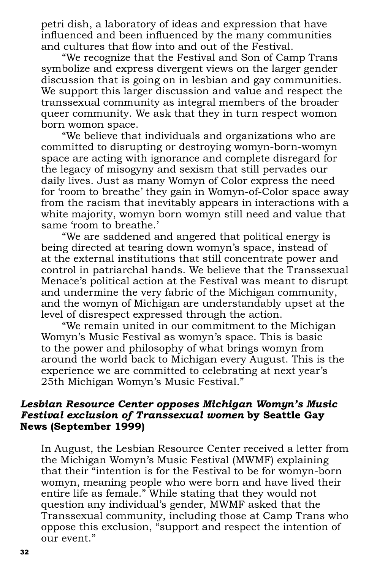petri dish, a laboratory of ideas and expression that have influenced and been influenced by the many communities and cultures that flow into and out of the Festival.

"We recognize that the Festival and Son of Camp Trans symbolize and express divergent views on the larger gender discussion that is going on in lesbian and gay communities. We support this larger discussion and value and respect the transsexual community as integral members of the broader queer community. We ask that they in turn respect womon born womon space.

"We believe that individuals and organizations who are committed to disrupting or destroying womyn-born-womyn space are acting with ignorance and complete disregard for the legacy of misogyny and sexism that still pervades our daily lives. Just as many Womyn of Color express the need for 'room to breathe' they gain in Womyn-of-Color space away from the racism that inevitably appears in interactions with a white majority, womyn born womyn still need and value that same 'room to breathe.'

"We are saddened and angered that political energy is being directed at tearing down womyn's space, instead of at the external institutions that still concentrate power and control in patriarchal hands. We believe that the Transsexual Menace's political action at the Festival was meant to disrupt and undermine the very fabric of the Michigan community, and the womyn of Michigan are understandably upset at the level of disrespect expressed through the action.

"We remain united in our commitment to the Michigan Womyn's Music Festival as womyn's space. This is basic to the power and philosophy of what brings womyn from around the world back to Michigan every August. This is the experience we are committed to celebrating at next year's 25th Michigan Womyn's Music Festival."

#### *Lesbian Resource Center opposes Michigan Womyn's Music Festival exclusion of Transsexual women* **by Seattle Gay News (September 1999)**

In August, the Lesbian Resource Center received a letter from the Michigan Womyn's Music Festival (MWMF) explaining that their "intention is for the Festival to be for womyn-born womyn, meaning people who were born and have lived their entire life as female." While stating that they would not question any individual's gender, MWMF asked that the Transsexual community, including those at Camp Trans who oppose this exclusion, "support and respect the intention of our event."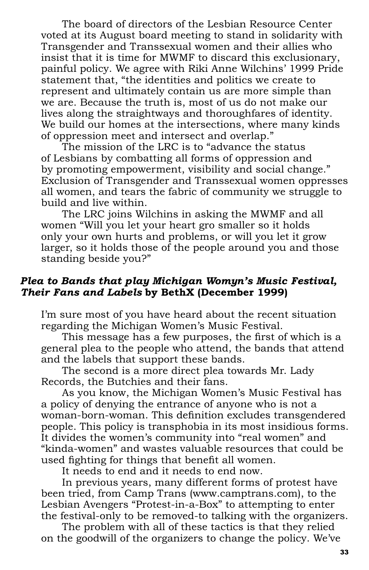The board of directors of the Lesbian Resource Center voted at its August board meeting to stand in solidarity with Transgender and Transsexual women and their allies who insist that it is time for MWMF to discard this exclusionary, painful policy. We agree with Riki Anne Wilchins' 1999 Pride statement that, "the identities and politics we create to represent and ultimately contain us are more simple than we are. Because the truth is, most of us do not make our lives along the straightways and thoroughfares of identity. We build our homes at the intersections, where many kinds of oppression meet and intersect and overlap."

The mission of the LRC is to "advance the status of Lesbians by combatting all forms of oppression and by promoting empowerment, visibility and social change." Exclusion of Transgender and Transsexual women oppresses all women, and tears the fabric of community we struggle to build and live within.

The LRC joins Wilchins in asking the MWMF and all women "Will you let your heart gro smaller so it holds only your own hurts and problems, or will you let it grow larger, so it holds those of the people around you and those standing beside you?"

#### *Plea to Bands that play Michigan Womyn's Music Festival, Their Fans and Labels* **by BethX (December 1999)**

I'm sure most of you have heard about the recent situation regarding the Michigan Women's Music Festival.

This message has a few purposes, the first of which is a general plea to the people who attend, the bands that attend and the labels that support these bands.

The second is a more direct plea towards Mr. Lady Records, the Butchies and their fans.

As you know, the Michigan Women's Music Festival has a policy of denying the entrance of anyone who is not a woman-born-woman. This definition excludes transgendered people. This policy is transphobia in its most insidious forms. It divides the women's community into "real women" and "kinda-women" and wastes valuable resources that could be used fighting for things that benefit all women.

It needs to end and it needs to end now.

In previous years, many different forms of protest have been tried, from Camp Trans (www.camptrans.com), to the Lesbian Avengers "Protest-in-a-Box" to attempting to enter the festival-only to be removed-to talking with the organizers.

The problem with all of these tactics is that they relied on the goodwill of the organizers to change the policy. We've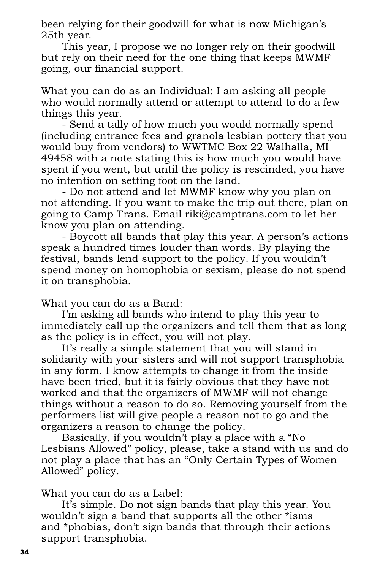been relying for their goodwill for what is now Michigan's 25th year.

This year, I propose we no longer rely on their goodwill but rely on their need for the one thing that keeps MWMF going, our financial support.

What you can do as an Individual: I am asking all people who would normally attend or attempt to attend to do a few things this year.

- Send a tally of how much you would normally spend (including entrance fees and granola lesbian pottery that you would buy from vendors) to WWTMC Box 22 Walhalla, MI 49458 with a note stating this is how much you would have spent if you went, but until the policy is rescinded, you have no intention on setting foot on the land.

- Do not attend and let MWMF know why you plan on not attending. If you want to make the trip out there, plan on going to Camp Trans. Email riki@camptrans.com to let her know you plan on attending.

- Boycott all bands that play this year. A person's actions speak a hundred times louder than words. By playing the festival, bands lend support to the policy. If you wouldn't spend money on homophobia or sexism, please do not spend it on transphobia.

What you can do as a Band:

I'm asking all bands who intend to play this year to immediately call up the organizers and tell them that as long as the policy is in effect, you will not play.

It's really a simple statement that you will stand in solidarity with your sisters and will not support transphobia in any form. I know attempts to change it from the inside have been tried, but it is fairly obvious that they have not worked and that the organizers of MWMF will not change things without a reason to do so. Removing yourself from the performers list will give people a reason not to go and the organizers a reason to change the policy.

Basically, if you wouldn't play a place with a "No Lesbians Allowed" policy, please, take a stand with us and do not play a place that has an "Only Certain Types of Women Allowed" policy.

What you can do as a Label:

It's simple. Do not sign bands that play this year. You wouldn't sign a band that supports all the other \*isms and \*phobias, don't sign bands that through their actions support transphobia.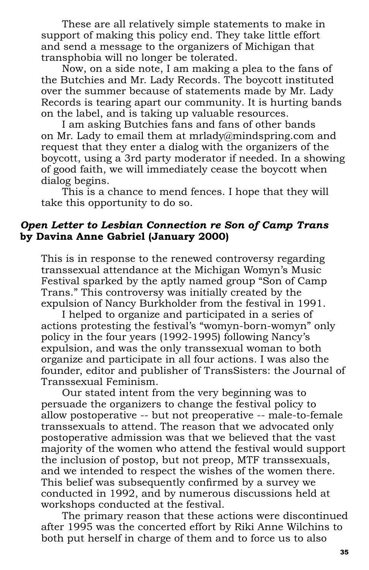These are all relatively simple statements to make in support of making this policy end. They take little effort and send a message to the organizers of Michigan that transphobia will no longer be tolerated.

Now, on a side note, I am making a plea to the fans of the Butchies and Mr. Lady Records. The boycott instituted over the summer because of statements made by Mr. Lady Records is tearing apart our community. It is hurting bands on the label, and is taking up valuable resources.

I am asking Butchies fans and fans of other bands on Mr. Lady to email them at mrlady@mindspring.com and request that they enter a dialog with the organizers of the boycott, using a 3rd party moderator if needed. In a showing of good faith, we will immediately cease the boycott when dialog begins.

This is a chance to mend fences. I hope that they will take this opportunity to do so.

#### *Open Letter to Lesbian Connection re Son of Camp Trans* **by Davina Anne Gabriel (January 2000)**

This is in response to the renewed controversy regarding transsexual attendance at the Michigan Womyn's Music Festival sparked by the aptly named group "Son of Camp Trans." This controversy was initially created by the expulsion of Nancy Burkholder from the festival in 1991.

I helped to organize and participated in a series of actions protesting the festival's "womyn-born-womyn" only policy in the four years (1992-1995) following Nancy's expulsion, and was the only transsexual woman to both organize and participate in all four actions. I was also the founder, editor and publisher of TransSisters: the Journal of Transsexual Feminism.

Our stated intent from the very beginning was to persuade the organizers to change the festival policy to allow postoperative -- but not preoperative -- male-to-female transsexuals to attend. The reason that we advocated only postoperative admission was that we believed that the vast majority of the women who attend the festival would support the inclusion of postop, but not preop, MTF transsexuals, and we intended to respect the wishes of the women there. This belief was subsequently confirmed by a survey we conducted in 1992, and by numerous discussions held at workshops conducted at the festival.

The primary reason that these actions were discontinued after 1995 was the concerted effort by Riki Anne Wilchins to both put herself in charge of them and to force us to also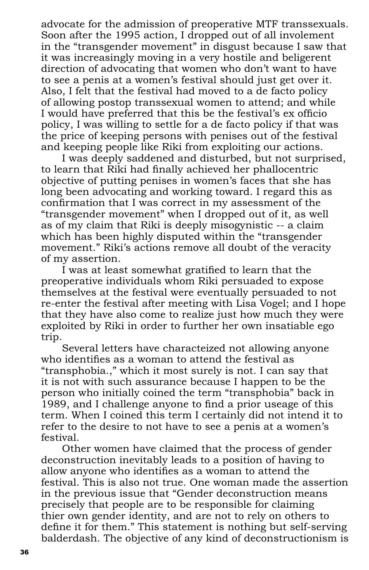advocate for the admission of preoperative MTF transsexuals. Soon after the 1995 action, I dropped out of all involement in the "transgender movement" in disgust because I saw that it was increasingly moving in a very hostile and beligerent direction of advocating that women who don't want to have to see a penis at a women's festival should just get over it. Also, I felt that the festival had moved to a de facto policy of allowing postop transsexual women to attend; and while I would have preferred that this be the festival's ex officio policy, I was willing to settle for a de facto policy if that was the price of keeping persons with penises out of the festival and keeping people like Riki from exploiting our actions.

I was deeply saddened and disturbed, but not surprised, to learn that Riki had finally achieved her phallocentric objective of putting penises in women's faces that she has long been advocating and working toward. I regard this as confirmation that I was correct in my assessment of the "transgender movement" when I dropped out of it, as well as of my claim that Riki is deeply misogynistic -- a claim which has been highly disputed within the "transgender movement." Riki's actions remove all doubt of the veracity of my assertion.

I was at least somewhat gratified to learn that the preoperative individuals whom Riki persuaded to expose themselves at the festival were eventually persuaded to not re-enter the festival after meeting with Lisa Vogel; and I hope that they have also come to realize just how much they were exploited by Riki in order to further her own insatiable ego trip.

Several letters have characteized not allowing anyone who identifies as a woman to attend the festival as "transphobia.," which it most surely is not. I can say that it is not with such assurance because I happen to be the person who initially coined the term "transphobia" back in 1989, and I challenge anyone to find a prior useage of this term. When I coined this term I certainly did not intend it to refer to the desire to not have to see a penis at a women's festival.

Other women have claimed that the process of gender deconstruction inevitably leads to a position of having to allow anyone who identifies as a woman to attend the festival. This is also not true. One woman made the assertion in the previous issue that "Gender deconstruction means precisely that people are to be responsible for claiming thier own gender identity, and are not to rely on others to define it for them." This statement is nothing but self-serving balderdash. The objective of any kind of deconstructionism is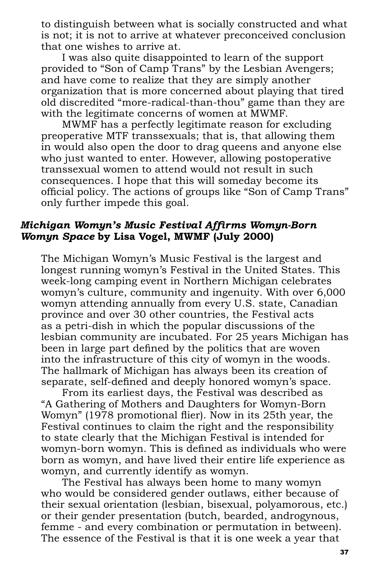to distinguish between what is socially constructed and what is not; it is not to arrive at whatever preconceived conclusion that one wishes to arrive at.

I was also quite disappointed to learn of the support provided to "Son of Camp Trans" by the Lesbian Avengers; and have come to realize that they are simply another organization that is more concerned about playing that tired old discredited "more-radical-than-thou" game than they are with the legitimate concerns of women at MWMF.

MWMF has a perfectly legitimate reason for excluding preoperative MTF transsexuals; that is, that allowing them in would also open the door to drag queens and anyone else who just wanted to enter. However, allowing postoperative transsexual women to attend would not result in such consequences. I hope that this will someday become its official policy. The actions of groups like "Son of Camp Trans" only further impede this goal.

#### *Michigan Womyn's Music Festival Affi rms Womyn-Born Womyn Space* **by Lisa Vogel, MWMF (July 2000)**

The Michigan Womyn's Music Festival is the largest and longest running womyn's Festival in the United States. This week-long camping event in Northern Michigan celebrates womyn's culture, community and ingenuity. With over 6,000 womyn attending annually from every U.S. state, Canadian province and over 30 other countries, the Festival acts as a petri-dish in which the popular discussions of the lesbian community are incubated. For 25 years Michigan has been in large part defined by the politics that are woven into the infrastructure of this city of womyn in the woods. The hallmark of Michigan has always been its creation of separate, self-defined and deeply honored womyn's space.

From its earliest days, the Festival was described as "A Gathering of Mothers and Daughters for Womyn-Born Womyn" (1978 promotional flier). Now in its 25th year, the Festival continues to claim the right and the responsibility to state clearly that the Michigan Festival is intended for womyn-born womyn. This is defined as individuals who were born as womyn, and have lived their entire life experience as womyn, and currently identify as womyn.

The Festival has always been home to many womyn who would be considered gender outlaws, either because of their sexual orientation (lesbian, bisexual, polyamorous, etc.) or their gender presentation (butch, bearded, androgynous, femme - and every combination or permutation in between). The essence of the Festival is that it is one week a year that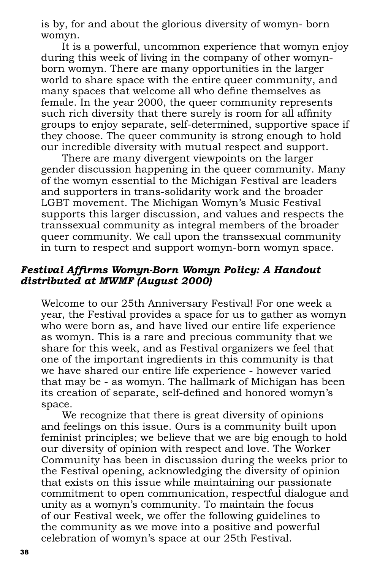is by, for and about the glorious diversity of womyn- born womyn.

It is a powerful, uncommon experience that womyn enjoy during this week of living in the company of other womynborn womyn. There are many opportunities in the larger world to share space with the entire queer community, and many spaces that welcome all who define themselves as female. In the year 2000, the queer community represents such rich diversity that there surely is room for all affinity groups to enjoy separate, self-determined, supportive space if they choose. The queer community is strong enough to hold our incredible diversity with mutual respect and support.

There are many divergent viewpoints on the larger gender discussion happening in the queer community. Many of the womyn essential to the Michigan Festival are leaders and supporters in trans-solidarity work and the broader LGBT movement. The Michigan Womyn's Music Festival supports this larger discussion, and values and respects the transsexual community as integral members of the broader queer community. We call upon the transsexual community in turn to respect and support womyn-born womyn space.

# *Festival Affi rms Womyn-Born Womyn Policy: A Handout distributed at MWMF (August 2000)*

Welcome to our 25th Anniversary Festival! For one week a year, the Festival provides a space for us to gather as womyn who were born as, and have lived our entire life experience as womyn. This is a rare and precious community that we share for this week, and as Festival organizers we feel that one of the important ingredients in this community is that we have shared our entire life experience - however varied that may be - as womyn. The hallmark of Michigan has been its creation of separate, self-defined and honored womyn's space.

We recognize that there is great diversity of opinions and feelings on this issue. Ours is a community built upon feminist principles; we believe that we are big enough to hold our diversity of opinion with respect and love. The Worker Community has been in discussion during the weeks prior to the Festival opening, acknowledging the diversity of opinion that exists on this issue while maintaining our passionate commitment to open communication, respectful dialogue and unity as a womyn's community. To maintain the focus of our Festival week, we offer the following guidelines to the community as we move into a positive and powerful celebration of womyn's space at our 25th Festival.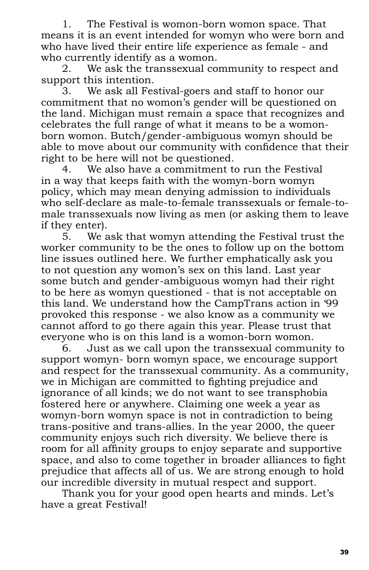1. The Festival is womon-born womon space. That means it is an event intended for womyn who were born and who have lived their entire life experience as female - and who currently identify as a womon.

2. We ask the transsexual community to respect and support this intention.

3. We ask all Festival-goers and staff to honor our commitment that no womon's gender will be questioned on the land. Michigan must remain a space that recognizes and celebrates the full range of what it means to be a womonborn womon. Butch/gender-ambiguous womyn should be able to move about our community with confidence that their right to be here will not be questioned.

4. We also have a commitment to run the Festival in a way that keeps faith with the womyn-born womyn policy, which may mean denying admission to individuals who self-declare as male-to-female transsexuals or female-tomale transsexuals now living as men (or asking them to leave if they enter).

5. We ask that womyn attending the Festival trust the worker community to be the ones to follow up on the bottom line issues outlined here. We further emphatically ask you to not question any womon's sex on this land. Last year some butch and gender-ambiguous womyn had their right to be here as womyn questioned - that is not acceptable on this land. We understand how the CampTrans action in '99 provoked this response - we also know as a community we cannot afford to go there again this year. Please trust that everyone who is on this land is a womon-born womon.

6. Just as we call upon the transsexual community to support womyn- born womyn space, we encourage support and respect for the transsexual community. As a community, we in Michigan are committed to fighting prejudice and ignorance of all kinds; we do not want to see transphobia fostered here or anywhere. Claiming one week a year as womyn-born womyn space is not in contradiction to being trans-positive and trans-allies. In the year 2000, the queer community enjoys such rich diversity. We believe there is room for all affinity groups to enjoy separate and supportive space, and also to come together in broader alliances to fight prejudice that affects all of us. We are strong enough to hold our incredible diversity in mutual respect and support.

Thank you for your good open hearts and minds. Let's have a great Festival!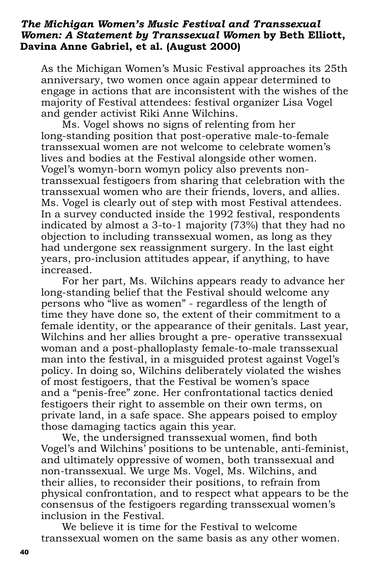#### *The Michigan Women's Music Festival and Transsexual Women: A Statement by Transsexual Women* **by Beth Elliott, Davina Anne Gabriel, et al. (August 2000)**

As the Michigan Women's Music Festival approaches its 25th anniversary, two women once again appear determined to engage in actions that are inconsistent with the wishes of the majority of Festival attendees: festival organizer Lisa Vogel and gender activist Riki Anne Wilchins.

Ms. Vogel shows no signs of relenting from her long-standing position that post-operative male-to-female transsexual women are not welcome to celebrate women's lives and bodies at the Festival alongside other women. Vogel's womyn-born womyn policy also prevents nontranssexual festigoers from sharing that celebration with the transsexual women who are their friends, lovers, and allies. Ms. Vogel is clearly out of step with most Festival attendees. In a survey conducted inside the 1992 festival, respondents indicated by almost a 3-to-1 majority (73%) that they had no objection to including transsexual women, as long as they had undergone sex reassignment surgery. In the last eight years, pro-inclusion attitudes appear, if anything, to have increased.

For her part, Ms. Wilchins appears ready to advance her long-standing belief that the Festival should welcome any persons who "live as women" - regardless of the length of time they have done so, the extent of their commitment to a female identity, or the appearance of their genitals. Last year, Wilchins and her allies brought a pre- operative transsexual woman and a post-phalloplasty female-to-male transsexual man into the festival, in a misguided protest against Vogel's policy. In doing so, Wilchins deliberately violated the wishes of most festigoers, that the Festival be women's space and a "penis-free" zone. Her confrontational tactics denied festigoers their right to assemble on their own terms, on private land, in a safe space. She appears poised to employ those damaging tactics again this year.

We, the undersigned transsexual women, find both Vogel's and Wilchins' positions to be untenable, anti-feminist, and ultimately oppressive of women, both transsexual and non-transsexual. We urge Ms. Vogel, Ms. Wilchins, and their allies, to reconsider their positions, to refrain from physical confrontation, and to respect what appears to be the consensus of the festigoers regarding transsexual women's inclusion in the Festival.

We believe it is time for the Festival to welcome transsexual women on the same basis as any other women.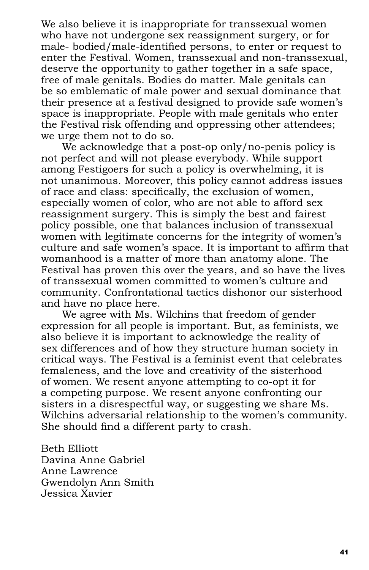We also believe it is inappropriate for transsexual women who have not undergone sex reassignment surgery, or for male- bodied/male-identified persons, to enter or request to enter the Festival. Women, transsexual and non-transsexual, deserve the opportunity to gather together in a safe space, free of male genitals. Bodies do matter. Male genitals can be so emblematic of male power and sexual dominance that their presence at a festival designed to provide safe women's space is inappropriate. People with male genitals who enter the Festival risk offending and oppressing other attendees; we urge them not to do so.

We acknowledge that a post-op only/no-penis policy is not perfect and will not please everybody. While support among Festigoers for such a policy is overwhelming, it is not unanimous. Moreover, this policy cannot address issues of race and class: specifically, the exclusion of women, especially women of color, who are not able to afford sex reassignment surgery. This is simply the best and fairest policy possible, one that balances inclusion of transsexual women with legitimate concerns for the integrity of women's culture and safe women's space. It is important to affirm that womanhood is a matter of more than anatomy alone. The Festival has proven this over the years, and so have the lives of transsexual women committed to women's culture and community. Confrontational tactics dishonor our sisterhood and have no place here.

We agree with Ms. Wilchins that freedom of gender expression for all people is important. But, as feminists, we also believe it is important to acknowledge the reality of sex differences and of how they structure human society in critical ways. The Festival is a feminist event that celebrates femaleness, and the love and creativity of the sisterhood of women. We resent anyone attempting to co-opt it for a competing purpose. We resent anyone confronting our sisters in a disrespectful way, or suggesting we share Ms. Wilchins adversarial relationship to the women's community. She should find a different party to crash.

Beth Elliott Davina Anne Gabriel Anne Lawrence Gwendolyn Ann Smith Jessica Xavier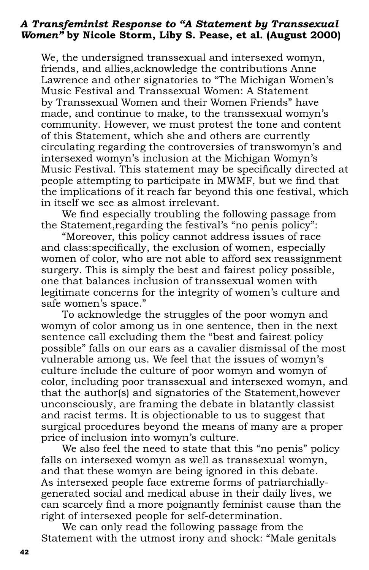#### *A Transfeminist Response to "A Statement by Transsexual Women"* **by Nicole Storm, Liby S. Pease, et al. (August 2000)**

We, the undersigned transsexual and intersexed womyn, friends, and allies,acknowledge the contributions Anne Lawrence and other signatories to "The Michigan Women's Music Festival and Transsexual Women: A Statement by Transsexual Women and their Women Friends" have made, and continue to make, to the transsexual womyn's community. However, we must protest the tone and content of this Statement, which she and others are currently circulating regarding the controversies of transwomyn's and intersexed womyn's inclusion at the Michigan Womyn's Music Festival. This statement may be specifically directed at people attempting to participate in MWMF, but we find that the implications of it reach far beyond this one festival, which in itself we see as almost irrelevant.

We find especially troubling the following passage from the Statement,regarding the festival's "no penis policy":

"Moreover, this policy cannot address issues of race and class: specifically, the exclusion of women, especially women of color, who are not able to afford sex reassignment surgery. This is simply the best and fairest policy possible, one that balances inclusion of transsexual women with legitimate concerns for the integrity of women's culture and safe women's space."

To acknowledge the struggles of the poor womyn and womyn of color among us in one sentence, then in the next sentence call excluding them the "best and fairest policy possible" falls on our ears as a cavalier dismissal of the most vulnerable among us. We feel that the issues of womyn's culture include the culture of poor womyn and womyn of color, including poor transsexual and intersexed womyn, and that the author(s) and signatories of the Statement,however unconsciously, are framing the debate in blatantly classist and racist terms. It is objectionable to us to suggest that surgical procedures beyond the means of many are a proper price of inclusion into womyn's culture.

We also feel the need to state that this "no penis" policy falls on intersexed womyn as well as transsexual womyn, and that these womyn are being ignored in this debate. As intersexed people face extreme forms of patriarchiallygenerated social and medical abuse in their daily lives, we can scarcely find a more poignantly feminist cause than the right of intersexed people for self-determination.

We can only read the following passage from the Statement with the utmost irony and shock: "Male genitals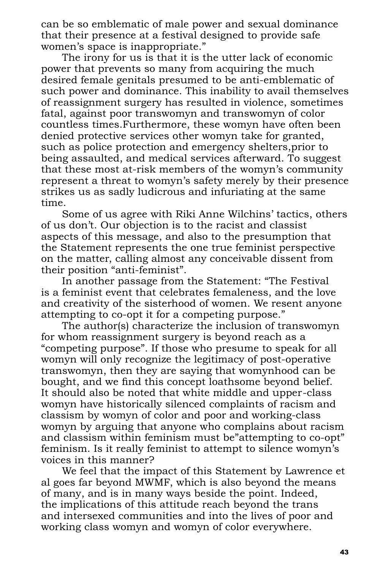can be so emblematic of male power and sexual dominance that their presence at a festival designed to provide safe women's space is inappropriate."

The irony for us is that it is the utter lack of economic power that prevents so many from acquiring the much desired female genitals presumed to be anti-emblematic of such power and dominance. This inability to avail themselves of reassignment surgery has resulted in violence, sometimes fatal, against poor transwomyn and transwomyn of color countless times.Furthermore, these womyn have often been denied protective services other womyn take for granted, such as police protection and emergency shelters,prior to being assaulted, and medical services afterward. To suggest that these most at-risk members of the womyn's community represent a threat to womyn's safety merely by their presence strikes us as sadly ludicrous and infuriating at the same time.

Some of us agree with Riki Anne Wilchins' tactics, others of us don't. Our objection is to the racist and classist aspects of this message, and also to the presumption that the Statement represents the one true feminist perspective on the matter, calling almost any conceivable dissent from their position "anti-feminist".

In another passage from the Statement: "The Festival is a feminist event that celebrates femaleness, and the love and creativity of the sisterhood of women. We resent anyone attempting to co-opt it for a competing purpose."

The author(s) characterize the inclusion of transwomyn for whom reassignment surgery is beyond reach as a "competing purpose". If those who presume to speak for all womyn will only recognize the legitimacy of post-operative transwomyn, then they are saying that womynhood can be bought, and we find this concept loathsome beyond belief. It should also be noted that white middle and upper-class womyn have historically silenced complaints of racism and classism by womyn of color and poor and working-class womyn by arguing that anyone who complains about racism and classism within feminism must be"attempting to co-opt" feminism. Is it really feminist to attempt to silence womyn's voices in this manner?

We feel that the impact of this Statement by Lawrence et al goes far beyond MWMF, which is also beyond the means of many, and is in many ways beside the point. Indeed, the implications of this attitude reach beyond the trans and intersexed communities and into the lives of poor and working class womyn and womyn of color everywhere.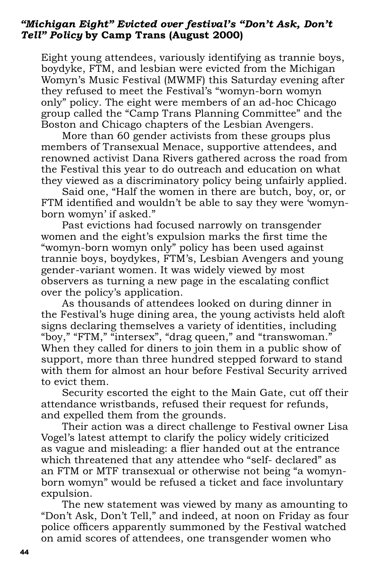#### *"Michigan Eight" Evicted over festival's "Don't Ask, Don't Tell" Policy* **by Camp Trans (August 2000)**

Eight young attendees, variously identifying as trannie boys, boydyke, FTM, and lesbian were evicted from the Michigan Womyn's Music Festival (MWMF) this Saturday evening after they refused to meet the Festival's "womyn-born womyn only" policy. The eight were members of an ad-hoc Chicago group called the "Camp Trans Planning Committee" and the Boston and Chicago chapters of the Lesbian Avengers.

More than 60 gender activists from these groups plus members of Transexual Menace, supportive attendees, and renowned activist Dana Rivers gathered across the road from the Festival this year to do outreach and education on what they viewed as a discriminatory policy being unfairly applied.

Said one, "Half the women in there are butch, boy, or, or FTM identified and wouldn't be able to say they were 'womynborn womyn' if asked."

Past evictions had focused narrowly on transgender women and the eight's expulsion marks the first time the "womyn-born womyn only" policy has been used against trannie boys, boydykes, FTM's, Lesbian Avengers and young gender-variant women. It was widely viewed by most observers as turning a new page in the escalating conflict over the policy's application.

As thousands of attendees looked on during dinner in the Festival's huge dining area, the young activists held aloft signs declaring themselves a variety of identities, including "boy," "FTM," "intersex", "drag queen," and "transwoman." When they called for diners to join them in a public show of support, more than three hundred stepped forward to stand with them for almost an hour before Festival Security arrived to evict them.

Security escorted the eight to the Main Gate, cut off their attendance wristbands, refused their request for refunds, and expelled them from the grounds.

Their action was a direct challenge to Festival owner Lisa Vogel's latest attempt to clarify the policy widely criticized as vague and misleading: a flier handed out at the entrance which threatened that any attendee who "self- declared" as an FTM or MTF transexual or otherwise not being "a womynborn womyn" would be refused a ticket and face involuntary expulsion.

The new statement was viewed by many as amounting to "Don't Ask, Don't Tell," and indeed, at noon on Friday as four police officers apparently summoned by the Festival watched on amid scores of attendees, one transgender women who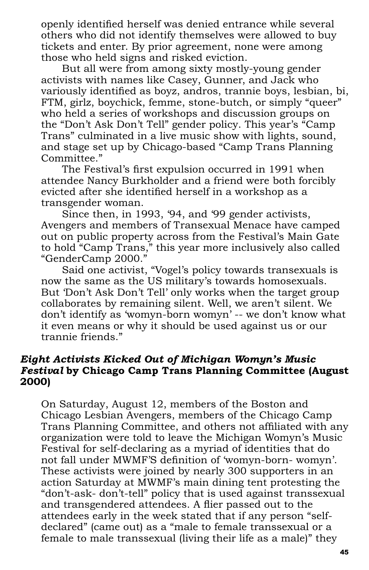openly identified herself was denied entrance while several others who did not identify themselves were allowed to buy tickets and enter. By prior agreement, none were among those who held signs and risked eviction.

But all were from among sixty mostly-young gender activists with names like Casey, Gunner, and Jack who variously identified as boyz, andros, trannie boys, lesbian, bi, FTM, girlz, boychick, femme, stone-butch, or simply "queer" who held a series of workshops and discussion groups on the "Don't Ask Don't Tell" gender policy. This year's "Camp Trans" culminated in a live music show with lights, sound, and stage set up by Chicago-based "Camp Trans Planning Committee."

The Festival's first expulsion occurred in 1991 when attendee Nancy Burkholder and a friend were both forcibly evicted after she identified herself in a workshop as a transgender woman.

Since then, in 1993, '94, and '99 gender activists, Avengers and members of Transexual Menace have camped out on public property across from the Festival's Main Gate to hold "Camp Trans," this year more inclusively also called "GenderCamp 2000."

Said one activist, "Vogel's policy towards transexuals is now the same as the US military's towards homosexuals. But 'Don't Ask Don't Tell' only works when the target group collaborates by remaining silent. Well, we aren't silent. We don't identify as 'womyn-born womyn' -- we don't know what it even means or why it should be used against us or our trannie friends."

#### *Eight Activists Kicked Out of Michigan Womyn's Music Festival* **by Chicago Camp Trans Planning Committee (August 2000)**

On Saturday, August 12, members of the Boston and Chicago Lesbian Avengers, members of the Chicago Camp Trans Planning Committee, and others not affiliated with any organization were told to leave the Michigan Womyn's Music Festival for self-declaring as a myriad of identities that do not fall under MWMF'S definition of 'womyn-born- womyn'. These activists were joined by nearly 300 supporters in an action Saturday at MWMF's main dining tent protesting the "don't-ask- don't-tell" policy that is used against transsexual and transgendered attendees. A flier passed out to the attendees early in the week stated that if any person "selfdeclared" (came out) as a "male to female transsexual or a female to male transsexual (living their life as a male)" they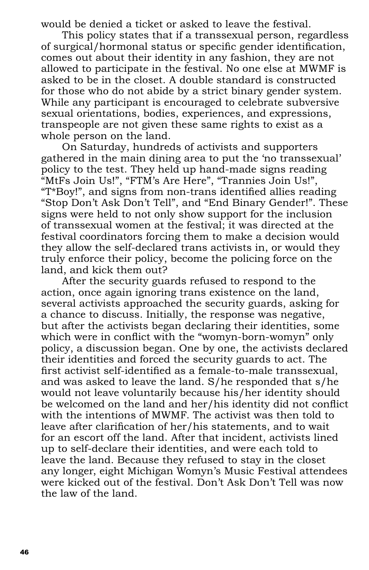would be denied a ticket or asked to leave the festival.

This policy states that if a transsexual person, regardless of surgical/hormonal status or specific gender identification, comes out about their identity in any fashion, they are not allowed to participate in the festival. No one else at MWMF is asked to be in the closet. A double standard is constructed for those who do not abide by a strict binary gender system. While any participant is encouraged to celebrate subversive sexual orientations, bodies, experiences, and expressions, transpeople are not given these same rights to exist as a whole person on the land.

On Saturday, hundreds of activists and supporters gathered in the main dining area to put the 'no transsexual' policy to the test. They held up hand-made signs reading "MtFs Join Us!", "FTM's Are Here", "Trannies Join Us!", "T\*Boy!", and signs from non-trans identified allies reading "Stop Don't Ask Don't Tell", and "End Binary Gender!". These signs were held to not only show support for the inclusion of transsexual women at the festival; it was directed at the festival coordinators forcing them to make a decision would they allow the self-declared trans activists in, or would they truly enforce their policy, become the policing force on the land, and kick them out?

After the security guards refused to respond to the action, once again ignoring trans existence on the land, several activists approached the security guards, asking for a chance to discuss. Initially, the response was negative, but after the activists began declaring their identities, some which were in conflict with the "womyn-born-womyn" only policy, a discussion began. One by one, the activists declared their identities and forced the security guards to act. The first activist self-identified as a female-to-male transsexual, and was asked to leave the land. S/he responded that s/he would not leave voluntarily because his/her identity should be welcomed on the land and her/his identity did not conflict with the intentions of MWMF. The activist was then told to leave after clarification of her/his statements, and to wait for an escort off the land. After that incident, activists lined up to self-declare their identities, and were each told to leave the land. Because they refused to stay in the closet any longer, eight Michigan Womyn's Music Festival attendees were kicked out of the festival. Don't Ask Don't Tell was now the law of the land.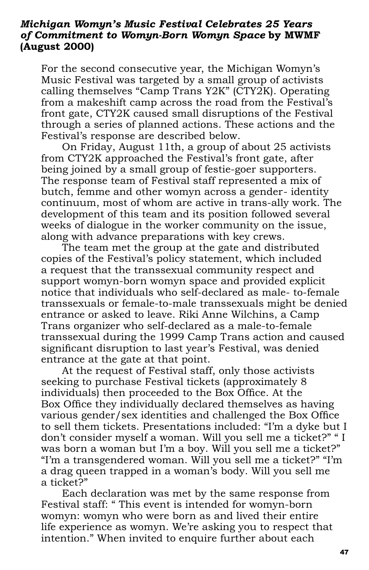#### *Michigan Womyn's Music Festival Celebrates 25 Years of Commitment to Womyn-Born Womyn Space* **by MWMF (August 2000)**

For the second consecutive year, the Michigan Womyn's Music Festival was targeted by a small group of activists calling themselves "Camp Trans Y2K" (CTY2K). Operating from a makeshift camp across the road from the Festival's front gate, CTY2K caused small disruptions of the Festival through a series of planned actions. These actions and the Festival's response are described below.

On Friday, August 11th, a group of about 25 activists from CTY2K approached the Festival's front gate, after being joined by a small group of festie-goer supporters. The response team of Festival staff represented a mix of butch, femme and other womyn across a gender- identity continuum, most of whom are active in trans-ally work. The development of this team and its position followed several weeks of dialogue in the worker community on the issue, along with advance preparations with key crews.

The team met the group at the gate and distributed copies of the Festival's policy statement, which included a request that the transsexual community respect and support womyn-born womyn space and provided explicit notice that individuals who self-declared as male- to-female transsexuals or female-to-male transsexuals might be denied entrance or asked to leave. Riki Anne Wilchins, a Camp Trans organizer who self-declared as a male-to-female transsexual during the 1999 Camp Trans action and caused significant disruption to last year's Festival, was denied entrance at the gate at that point.

At the request of Festival staff, only those activists seeking to purchase Festival tickets (approximately 8 individuals) then proceeded to the Box Office. At the Box Office they individually declared themselves as having various gender/sex identities and challenged the Box Office to sell them tickets. Presentations included: "I'm a dyke but I don't consider myself a woman. Will you sell me a ticket?" " I was born a woman but I'm a boy. Will you sell me a ticket?" "I'm a transgendered woman. Will you sell me a ticket?" "I'm a drag queen trapped in a woman's body. Will you sell me a ticket?"

Each declaration was met by the same response from Festival staff: " This event is intended for womyn-born womyn: womyn who were born as and lived their entire life experience as womyn. We're asking you to respect that intention." When invited to enquire further about each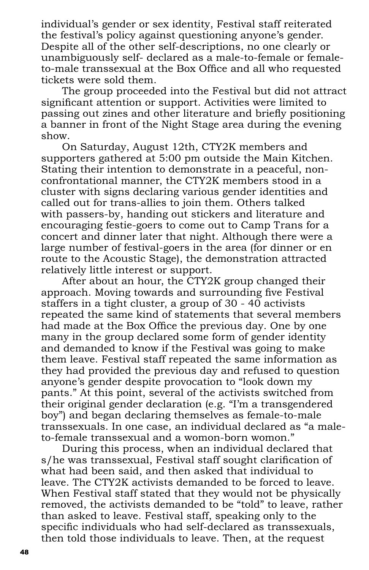individual's gender or sex identity, Festival staff reiterated the festival's policy against questioning anyone's gender. Despite all of the other self-descriptions, no one clearly or unambiguously self- declared as a male-to-female or femaleto-male transsexual at the Box Office and all who requested tickets were sold them.

The group proceeded into the Festival but did not attract significant attention or support. Activities were limited to passing out zines and other literature and briefly positioning a banner in front of the Night Stage area during the evening show.

On Saturday, August 12th, CTY2K members and supporters gathered at 5:00 pm outside the Main Kitchen. Stating their intention to demonstrate in a peaceful, nonconfrontational manner, the CTY2K members stood in a cluster with signs declaring various gender identities and called out for trans-allies to join them. Others talked with passers-by, handing out stickers and literature and encouraging festie-goers to come out to Camp Trans for a concert and dinner later that night. Although there were a large number of festival-goers in the area (for dinner or en route to the Acoustic Stage), the demonstration attracted relatively little interest or support.

After about an hour, the CTY2K group changed their approach. Moving towards and surrounding five Festival staffers in a tight cluster, a group of 30 - 40 activists repeated the same kind of statements that several members had made at the Box Office the previous day. One by one many in the group declared some form of gender identity and demanded to know if the Festival was going to make them leave. Festival staff repeated the same information as they had provided the previous day and refused to question anyone's gender despite provocation to "look down my pants." At this point, several of the activists switched from their original gender declaration (e.g. "I'm a transgendered boy") and began declaring themselves as female-to-male transsexuals. In one case, an individual declared as "a maleto-female transsexual and a womon-born womon."

During this process, when an individual declared that s/he was transsexual, Festival staff sought clarification of what had been said, and then asked that individual to leave. The CTY2K activists demanded to be forced to leave. When Festival staff stated that they would not be physically removed, the activists demanded to be "told" to leave, rather than asked to leave. Festival staff, speaking only to the specific individuals who had self-declared as transsexuals, then told those individuals to leave. Then, at the request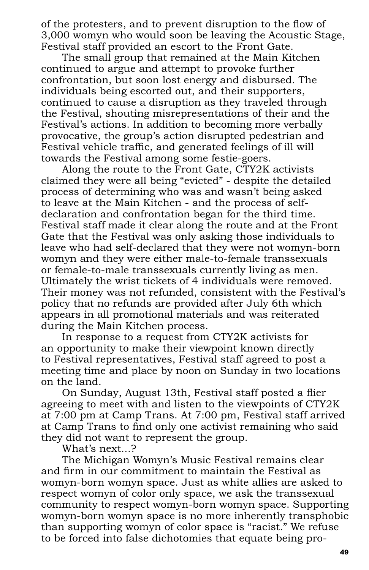of the protesters, and to prevent disruption to the flow of 3,000 womyn who would soon be leaving the Acoustic Stage, Festival staff provided an escort to the Front Gate.

The small group that remained at the Main Kitchen continued to argue and attempt to provoke further confrontation, but soon lost energy and disbursed. The individuals being escorted out, and their supporters, continued to cause a disruption as they traveled through the Festival, shouting misrepresentations of their and the Festival's actions. In addition to becoming more verbally provocative, the group's action disrupted pedestrian and Festival vehicle traffic, and generated feelings of ill will towards the Festival among some festie-goers.

Along the route to the Front Gate, CTY2K activists claimed they were all being "evicted" - despite the detailed process of determining who was and wasn't being asked to leave at the Main Kitchen - and the process of selfdeclaration and confrontation began for the third time. Festival staff made it clear along the route and at the Front Gate that the Festival was only asking those individuals to leave who had self-declared that they were not womyn-born womyn and they were either male-to-female transsexuals or female-to-male transsexuals currently living as men. Ultimately the wrist tickets of 4 individuals were removed. Their money was not refunded, consistent with the Festival's policy that no refunds are provided after July 6th which appears in all promotional materials and was reiterated during the Main Kitchen process.

In response to a request from CTY2K activists for an opportunity to make their viewpoint known directly to Festival representatives, Festival staff agreed to post a meeting time and place by noon on Sunday in two locations on the land.

On Sunday, August 13th, Festival staff posted a flier agreeing to meet with and listen to the viewpoints of CTY2K at 7:00 pm at Camp Trans. At 7:00 pm, Festival staff arrived at Camp Trans to find only one activist remaining who said they did not want to represent the group.

What's next...?

The Michigan Womyn's Music Festival remains clear and firm in our commitment to maintain the Festival as womyn-born womyn space. Just as white allies are asked to respect womyn of color only space, we ask the transsexual community to respect womyn-born womyn space. Supporting womyn-born womyn space is no more inherently transphobic than supporting womyn of color space is "racist." We refuse to be forced into false dichotomies that equate being pro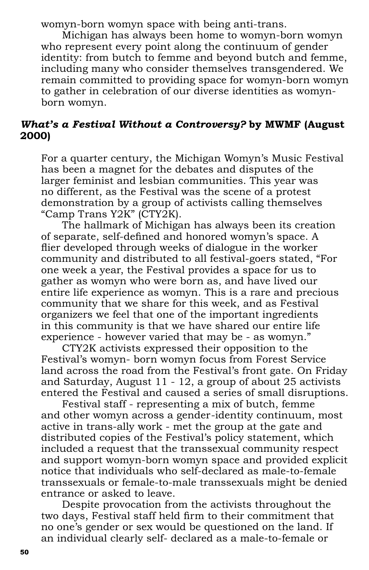womyn-born womyn space with being anti-trans.

Michigan has always been home to womyn-born womyn who represent every point along the continuum of gender identity: from butch to femme and beyond butch and femme, including many who consider themselves transgendered. We remain committed to providing space for womyn-born womyn to gather in celebration of our diverse identities as womynborn womyn.

# *What's a Festival Without a Controversy?* **by MWMF (August 2000)**

For a quarter century, the Michigan Womyn's Music Festival has been a magnet for the debates and disputes of the larger feminist and lesbian communities. This year was no different, as the Festival was the scene of a protest demonstration by a group of activists calling themselves "Camp Trans Y2K" (CTY2K).

The hallmark of Michigan has always been its creation of separate, self-defined and honored womyn's space. A flier developed through weeks of dialogue in the worker community and distributed to all festival-goers stated, "For one week a year, the Festival provides a space for us to gather as womyn who were born as, and have lived our entire life experience as womyn. This is a rare and precious community that we share for this week, and as Festival organizers we feel that one of the important ingredients in this community is that we have shared our entire life experience - however varied that may be - as womyn."

CTY2K activists expressed their opposition to the Festival's womyn- born womyn focus from Forest Service land across the road from the Festival's front gate. On Friday and Saturday, August 11 - 12, a group of about 25 activists entered the Festival and caused a series of small disruptions.

Festival staff - representing a mix of butch, femme and other womyn across a gender-identity continuum, most active in trans-ally work - met the group at the gate and distributed copies of the Festival's policy statement, which included a request that the transsexual community respect and support womyn-born womyn space and provided explicit notice that individuals who self-declared as male-to-female transsexuals or female-to-male transsexuals might be denied entrance or asked to leave.

Despite provocation from the activists throughout the two days, Festival staff held firm to their commitment that no one's gender or sex would be questioned on the land. If an individual clearly self- declared as a male-to-female or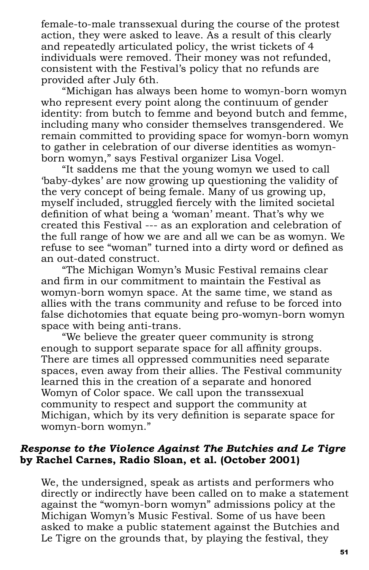female-to-male transsexual during the course of the protest action, they were asked to leave. As a result of this clearly and repeatedly articulated policy, the wrist tickets of 4 individuals were removed. Their money was not refunded, consistent with the Festival's policy that no refunds are provided after July 6th.

"Michigan has always been home to womyn-born womyn who represent every point along the continuum of gender identity: from butch to femme and beyond butch and femme, including many who consider themselves transgendered. We remain committed to providing space for womyn-born womyn to gather in celebration of our diverse identities as womynborn womyn," says Festival organizer Lisa Vogel.

"It saddens me that the young womyn we used to call 'baby-dykes' are now growing up questioning the validity of the very concept of being female. Many of us growing up, myself included, struggled fiercely with the limited societal definition of what being a 'woman' meant. That's why we created this Festival --- as an exploration and celebration of the full range of how we are and all we can be as womyn. We refuse to see "woman" turned into a dirty word or defined as an out-dated construct.

"The Michigan Womyn's Music Festival remains clear and firm in our commitment to maintain the Festival as womyn-born womyn space. At the same time, we stand as allies with the trans community and refuse to be forced into false dichotomies that equate being pro-womyn-born womyn space with being anti-trans.

"We believe the greater queer community is strong enough to support separate space for all affinity groups. There are times all oppressed communities need separate spaces, even away from their allies. The Festival community learned this in the creation of a separate and honored Womyn of Color space. We call upon the transsexual community to respect and support the community at Michigan, which by its very definition is separate space for womyn-born womyn."

#### *Response to the Violence Against The Butchies and Le Tigre*  **by Rachel Carnes, Radio Sloan, et al. (October 2001)**

We, the undersigned, speak as artists and performers who directly or indirectly have been called on to make a statement against the "womyn-born womyn" admissions policy at the Michigan Womyn's Music Festival. Some of us have been asked to make a public statement against the Butchies and Le Tigre on the grounds that, by playing the festival, they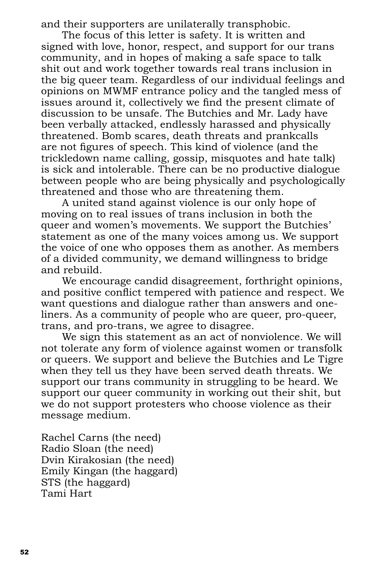and their supporters are unilaterally transphobic.

The focus of this letter is safety. It is written and signed with love, honor, respect, and support for our trans community, and in hopes of making a safe space to talk shit out and work together towards real trans inclusion in the big queer team. Regardless of our individual feelings and opinions on MWMF entrance policy and the tangled mess of issues around it, collectively we find the present climate of discussion to be unsafe. The Butchies and Mr. Lady have been verbally attacked, endlessly harassed and physically threatened. Bomb scares, death threats and prankcalls are not figures of speech. This kind of violence (and the trickledown name calling, gossip, misquotes and hate talk) is sick and intolerable. There can be no productive dialogue between people who are being physically and psychologically threatened and those who are threatening them.

A united stand against violence is our only hope of moving on to real issues of trans inclusion in both the queer and women's movements. We support the Butchies' statement as one of the many voices among us. We support the voice of one who opposes them as another. As members of a divided community, we demand willingness to bridge and rebuild.

We encourage candid disagreement, forthright opinions, and positive conflict tempered with patience and respect. We want questions and dialogue rather than answers and oneliners. As a community of people who are queer, pro-queer, trans, and pro-trans, we agree to disagree.

We sign this statement as an act of nonviolence. We will not tolerate any form of violence against women or transfolk or queers. We support and believe the Butchies and Le Tigre when they tell us they have been served death threats. We support our trans community in struggling to be heard. We support our queer community in working out their shit, but we do not support protesters who choose violence as their message medium.

Rachel Carns (the need) Radio Sloan (the need) Dvin Kirakosian (the need) Emily Kingan (the haggard) STS (the haggard) Tami Hart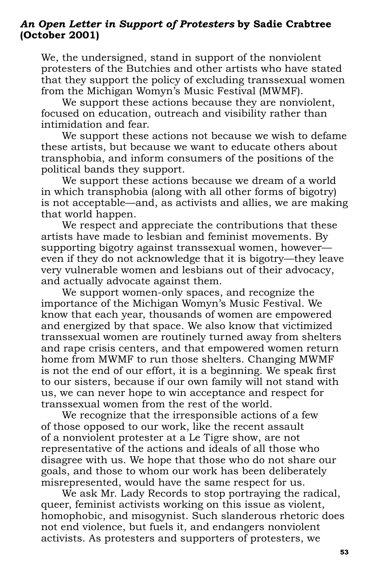### *An Open Letter in Support of Protesters* **by Sadie Crabtree (October 2001)**

We, the undersigned, stand in support of the nonviolent protesters of the Butchies and other artists who have stated that they support the policy of excluding transsexual women from the Michigan Womyn's Music Festival (MWMF).

We support these actions because they are nonviolent, focused on education, outreach and visibility rather than intimidation and fear.

We support these actions not because we wish to defame these artists, but because we want to educate others about transphobia, and inform consumers of the positions of the political bands they support.

We support these actions because we dream of a world in which transphobia (along with all other forms of bigotry) is not acceptable—and, as activists and allies, we are making that world happen.

We respect and appreciate the contributions that these artists have made to lesbian and feminist movements. By supporting bigotry against transsexual women, however even if they do not acknowledge that it is bigotry—they leave very vulnerable women and lesbians out of their advocacy, and actually advocate against them.

We support women-only spaces, and recognize the importance of the Michigan Womyn's Music Festival. We know that each year, thousands of women are empowered and energized by that space. We also know that victimized transsexual women are routinely turned away from shelters and rape crisis centers, and that empowered women return home from MWMF to run those shelters. Changing MWMF is not the end of our effort, it is a beginning. We speak first to our sisters, because if our own family will not stand with us, we can never hope to win acceptance and respect for transsexual women from the rest of the world.

We recognize that the irresponsible actions of a few of those opposed to our work, like the recent assault of a nonviolent protester at a Le Tigre show, are not representative of the actions and ideals of all those who disagree with us. We hope that those who do not share our goals, and those to whom our work has been deliberately misrepresented, would have the same respect for us.

We ask Mr. Lady Records to stop portraying the radical, queer, feminist activists working on this issue as violent, homophobic, and misogynist. Such slanderous rhetoric does not end violence, but fuels it, and endangers nonviolent activists. As protesters and supporters of protesters, we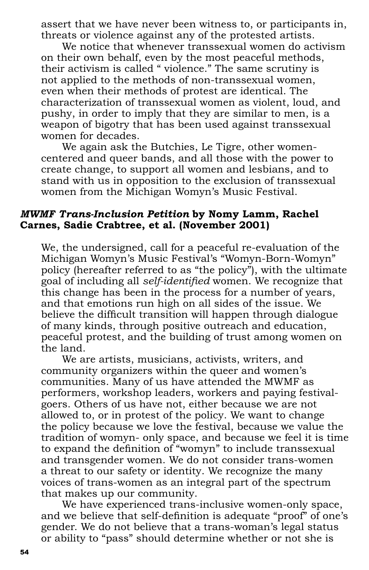assert that we have never been witness to, or participants in, threats or violence against any of the protested artists.

We notice that whenever transsexual women do activism on their own behalf, even by the most peaceful methods, their activism is called " violence." The same scrutiny is not applied to the methods of non-transsexual women, even when their methods of protest are identical. The characterization of transsexual women as violent, loud, and pushy, in order to imply that they are similar to men, is a weapon of bigotry that has been used against transsexual women for decades.

We again ask the Butchies, Le Tigre, other womencentered and queer bands, and all those with the power to create change, to support all women and lesbians, and to stand with us in opposition to the exclusion of transsexual women from the Michigan Womyn's Music Festival.

#### *MWMF Trans-Inclusion Petition* **by Nomy Lamm, Rachel Carnes, Sadie Crabtree, et al. (November 2001)**

We, the undersigned, call for a peaceful re-evaluation of the Michigan Womyn's Music Festival's "Womyn-Born-Womyn" policy (hereafter referred to as "the policy"), with the ultimate goal of including all *self-identified* women. We recognize that this change has been in the process for a number of years, and that emotions run high on all sides of the issue. We believe the difficult transition will happen through dialogue of many kinds, through positive outreach and education, peaceful protest, and the building of trust among women on the land.

We are artists, musicians, activists, writers, and community organizers within the queer and women's communities. Many of us have attended the MWMF as performers, workshop leaders, workers and paying festivalgoers. Others of us have not, either because we are not allowed to, or in protest of the policy. We want to change the policy because we love the festival, because we value the tradition of womyn- only space, and because we feel it is time to expand the definition of "womyn" to include transsexual and transgender women. We do not consider trans-women a threat to our safety or identity. We recognize the many voices of trans-women as an integral part of the spectrum that makes up our community.

We have experienced trans-inclusive women-only space, and we believe that self-definition is adequate "proof" of one's gender. We do not believe that a trans-woman's legal status or ability to "pass" should determine whether or not she is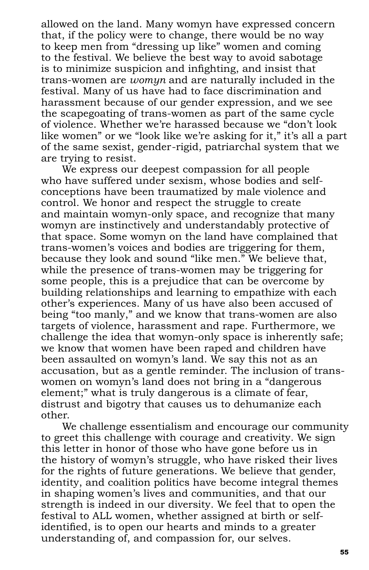allowed on the land. Many womyn have expressed concern that, if the policy were to change, there would be no way to keep men from "dressing up like" women and coming to the festival. We believe the best way to avoid sabotage is to minimize suspicion and infighting, and insist that trans-women are *womyn* and are naturally included in the festival. Many of us have had to face discrimination and harassment because of our gender expression, and we see the scapegoating of trans-women as part of the same cycle of violence. Whether we're harassed because we "don't look like women" or we "look like we're asking for it," it's all a part of the same sexist, gender-rigid, patriarchal system that we are trying to resist.

We express our deepest compassion for all people who have suffered under sexism, whose bodies and selfconceptions have been traumatized by male violence and control. We honor and respect the struggle to create and maintain womyn-only space, and recognize that many womyn are instinctively and understandably protective of that space. Some womyn on the land have complained that trans-women's voices and bodies are triggering for them, because they look and sound "like men." We believe that, while the presence of trans-women may be triggering for some people, this is a prejudice that can be overcome by building relationships and learning to empathize with each other's experiences. Many of us have also been accused of being "too manly," and we know that trans-women are also targets of violence, harassment and rape. Furthermore, we challenge the idea that womyn-only space is inherently safe; we know that women have been raped and children have been assaulted on womyn's land. We say this not as an accusation, but as a gentle reminder. The inclusion of transwomen on womyn's land does not bring in a "dangerous element;" what is truly dangerous is a climate of fear, distrust and bigotry that causes us to dehumanize each other.

We challenge essentialism and encourage our community to greet this challenge with courage and creativity. We sign this letter in honor of those who have gone before us in the history of womyn's struggle, who have risked their lives for the rights of future generations. We believe that gender, identity, and coalition politics have become integral themes in shaping women's lives and communities, and that our strength is indeed in our diversity. We feel that to open the festival to ALL women, whether assigned at birth or selfidentified, is to open our hearts and minds to a greater understanding of, and compassion for, our selves.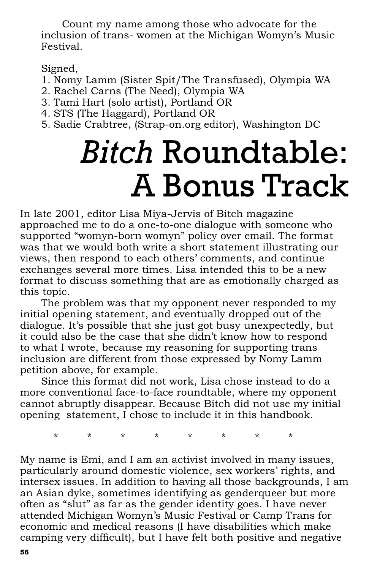Count my name among those who advocate for the inclusion of trans- women at the Michigan Womyn's Music Festival.

Signed,

- 1. Nomy Lamm (Sister Spit/The Transfused), Olympia WA
- 2. Rachel Carns (The Need), Olympia WA
- 3. Tami Hart (solo artist), Portland OR
- 4. STS (The Haggard), Portland OR
- 5. Sadie Crabtree, (Strap-on.org editor), Washington DC

# *Bitch* Roundtable: A Bonus Track

In late 2001, editor Lisa Miya-Jervis of Bitch magazine approached me to do a one-to-one dialogue with someone who supported "womyn-born womyn" policy over email. The format was that we would both write a short statement illustrating our views, then respond to each others' comments, and continue exchanges several more times. Lisa intended this to be a new format to discuss something that are as emotionally charged as this topic.

The problem was that my opponent never responded to my initial opening statement, and eventually dropped out of the dialogue. It's possible that she just got busy unexpectedly, but it could also be the case that she didn't know how to respond to what I wrote, because my reasoning for supporting trans inclusion are different from those expressed by Nomy Lamm petition above, for example.

Since this format did not work, Lisa chose instead to do a more conventional face-to-face roundtable, where my opponent cannot abruptly disappear. Because Bitch did not use my initial opening statement, I chose to include it in this handbook.

\* \* \* \* \* \* \* \*

My name is Emi, and I am an activist involved in many issues, particularly around domestic violence, sex workers' rights, and intersex issues. In addition to having all those backgrounds, I am an Asian dyke, sometimes identifying as genderqueer but more often as "slut" as far as the gender identity goes. I have never attended Michigan Womyn's Music Festival or Camp Trans for economic and medical reasons (I have disabilities which make camping very difficult), but I have felt both positive and negative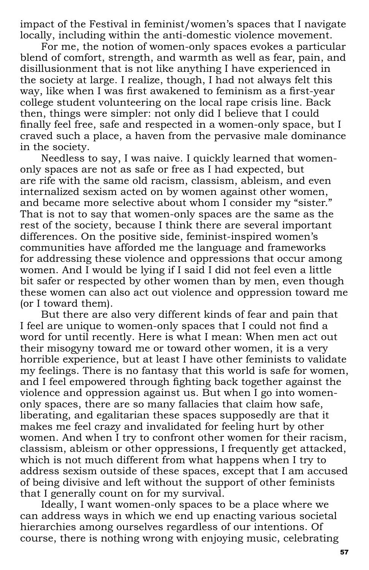impact of the Festival in feminist/women's spaces that I navigate locally, including within the anti-domestic violence movement.

For me, the notion of women-only spaces evokes a particular blend of comfort, strength, and warmth as well as fear, pain, and disillusionment that is not like anything I have experienced in the society at large. I realize, though, I had not always felt this way, like when I was first awakened to feminism as a first-year college student volunteering on the local rape crisis line. Back then, things were simpler: not only did I believe that I could finally feel free, safe and respected in a women-only space, but I craved such a place, a haven from the pervasive male dominance in the society.

Needless to say, I was naive. I quickly learned that womenonly spaces are not as safe or free as I had expected, but are rife with the same old racism, classism, ableism, and even internalized sexism acted on by women against other women, and became more selective about whom I consider my "sister." That is not to say that women-only spaces are the same as the rest of the society, because I think there are several important differences. On the positive side, feminist-inspired women's communities have afforded me the language and frameworks for addressing these violence and oppressions that occur among women. And I would be lying if I said I did not feel even a little bit safer or respected by other women than by men, even though these women can also act out violence and oppression toward me (or I toward them).

But there are also very different kinds of fear and pain that I feel are unique to women-only spaces that I could not find a word for until recently. Here is what I mean: When men act out their misogyny toward me or toward other women, it is a very horrible experience, but at least I have other feminists to validate my feelings. There is no fantasy that this world is safe for women, and I feel empowered through fighting back together against the violence and oppression against us. But when I go into womenonly spaces, there are so many fallacies that claim how safe, liberating, and egalitarian these spaces supposedly are that it makes me feel crazy and invalidated for feeling hurt by other women. And when I try to confront other women for their racism, classism, ableism or other oppressions, I frequently get attacked, which is not much different from what happens when I try to address sexism outside of these spaces, except that I am accused of being divisive and left without the support of other feminists that I generally count on for my survival.

Ideally, I want women-only spaces to be a place where we can address ways in which we end up enacting various societal hierarchies among ourselves regardless of our intentions. Of course, there is nothing wrong with enjoying music, celebrating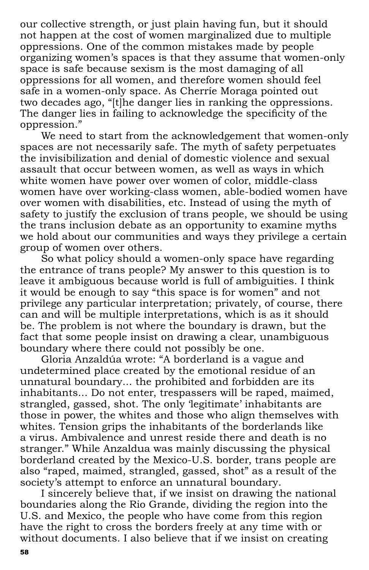our collective strength, or just plain having fun, but it should not happen at the cost of women marginalized due to multiple oppressions. One of the common mistakes made by people organizing women's spaces is that they assume that women-only space is safe because sexism is the most damaging of all oppressions for all women, and therefore women should feel safe in a women-only space. As Cherríe Moraga pointed out two decades ago, "[t]he danger lies in ranking the oppressions. The danger lies in failing to acknowledge the specificity of the oppression."

We need to start from the acknowledgement that women-only spaces are not necessarily safe. The myth of safety perpetuates the invisibilization and denial of domestic violence and sexual assault that occur between women, as well as ways in which white women have power over women of color, middle-class women have over working-class women, able-bodied women have over women with disabilities, etc. Instead of using the myth of safety to justify the exclusion of trans people, we should be using the trans inclusion debate as an opportunity to examine myths we hold about our communities and ways they privilege a certain group of women over others.

So what policy should a women-only space have regarding the entrance of trans people? My answer to this question is to leave it ambiguous because world is full of ambiguities. I think it would be enough to say "this space is for women" and not privilege any particular interpretation; privately, of course, there can and will be multiple interpretations, which is as it should be. The problem is not where the boundary is drawn, but the fact that some people insist on drawing a clear, unambiguous boundary where there could not possibly be one.

Gloria Anzaldúa wrote: "A borderland is a vague and undetermined place created by the emotional residue of an unnatural boundary... the prohibited and forbidden are its inhabitants... Do not enter, trespassers will be raped, maimed, strangled, gassed, shot. The only 'legitimate' inhabitants are those in power, the whites and those who align themselves with whites. Tension grips the inhabitants of the borderlands like a virus. Ambivalence and unrest reside there and death is no stranger." While Anzaldua was mainly discussing the physical borderland created by the Mexico-U.S. border, trans people are also "raped, maimed, strangled, gassed, shot" as a result of the society's attempt to enforce an unnatural boundary.

I sincerely believe that, if we insist on drawing the national boundaries along the Rio Grande, dividing the region into the U.S. and Mexico, the people who have come from this region have the right to cross the borders freely at any time with or without documents. I also believe that if we insist on creating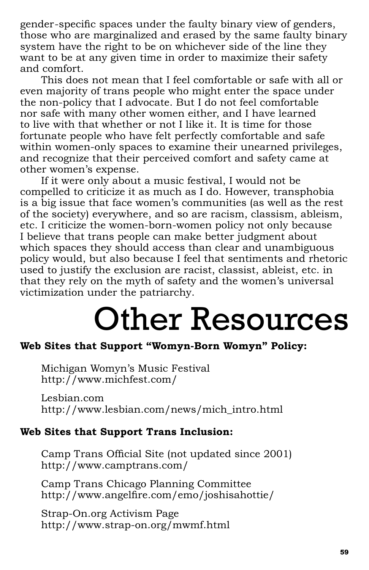gender-specific spaces under the faulty binary view of genders, those who are marginalized and erased by the same faulty binary system have the right to be on whichever side of the line they want to be at any given time in order to maximize their safety and comfort.

This does not mean that I feel comfortable or safe with all or even majority of trans people who might enter the space under the non-policy that I advocate. But I do not feel comfortable nor safe with many other women either, and I have learned to live with that whether or not I like it. It is time for those fortunate people who have felt perfectly comfortable and safe within women-only spaces to examine their unearned privileges, and recognize that their perceived comfort and safety came at other women's expense.

If it were only about a music festival, I would not be compelled to criticize it as much as I do. However, transphobia is a big issue that face women's communities (as well as the rest of the society) everywhere, and so are racism, classism, ableism, etc. I criticize the women-born-women policy not only because I believe that trans people can make better judgment about which spaces they should access than clear and unambiguous policy would, but also because I feel that sentiments and rhetoric used to justify the exclusion are racist, classist, ableist, etc. in that they rely on the myth of safety and the women's universal victimization under the patriarchy.

# Other Resources

# **Web Sites that Support "Womyn-Born Womyn" Policy:**

Michigan Womyn's Music Festival http://www.michfest.com/

Lesbian.com http://www.lesbian.com/news/mich\_intro.html

# **Web Sites that Support Trans Inclusion:**

Camp Trans Official Site (not updated since 2001) http://www.camptrans.com/

Camp Trans Chicago Planning Committee http://www.angelfire.com/emo/joshisahottie/

Strap-On.org Activism Page http://www.strap-on.org/mwmf.html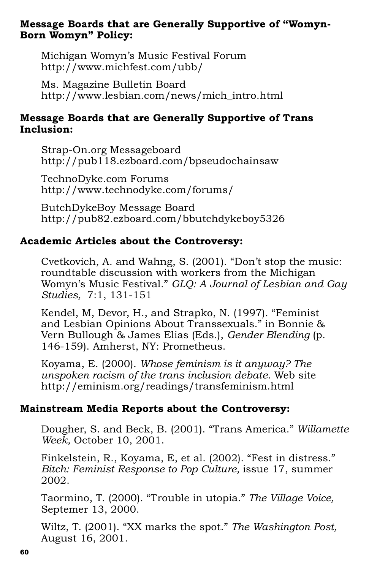# **Message Boards that are Generally Supportive of "Womyn-Born Womyn" Policy:**

Michigan Womyn's Music Festival Forum http://www.michfest.com/ubb/

Ms. Magazine Bulletin Board http://www.lesbian.com/news/mich\_intro.html

# **Message Boards that are Generally Supportive of Trans Inclusion:**

Strap-On.org Messageboard http://pub118.ezboard.com/bpseudochainsaw

TechnoDyke.com Forums http://www.technodyke.com/forums/

ButchDykeBoy Message Board http://pub82.ezboard.com/bbutchdykeboy5326

# **Academic Articles about the Controversy:**

Cvetkovich, A. and Wahng, S. (2001). "Don't stop the music: roundtable discussion with workers from the Michigan Womyn's Music Festival." *GLQ: A Journal of Lesbian and Gay Studies,* 7:1, 131-151

Kendel, M, Devor, H., and Strapko, N. (1997). "Feminist and Lesbian Opinions About Transsexuals." in Bonnie & Vern Bullough & James Elias (Eds.), *Gender Blending* (p. 146-159). Amherst, NY: Prometheus.

Koyama, E. (2000). *Whose feminism is it anyway? The unspoken racism of the trans inclusion debate*. Web site http://eminism.org/readings/transfeminism.html

# **Mainstream Media Reports about the Controversy:**

Dougher, S. and Beck, B. (2001). "Trans America." *Willamette Week,* October 10, 2001.

Finkelstein, R., Koyama, E, et al. (2002). "Fest in distress." *Bitch: Feminist Response to Pop Culture,* issue 17, summer 2002.

Taormino, T. (2000). "Trouble in utopia." *The Village Voice,* Septemer 13, 2000.

Wiltz, T. (2001). "XX marks the spot." *The Washington Post,*  August 16, 2001.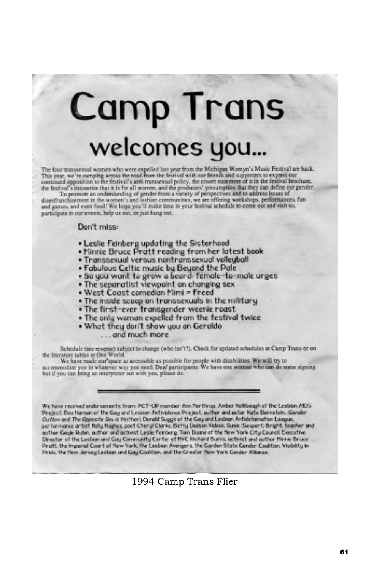# **Camp Trans** welcomes you...

The four transsexual women who were expelled last year from the Michigan Womyn's Masic Festival are back.<br>This year, we're carrieng across the road from the festival with our friends and supporters to express our This year, we re carrying across the reason from the restrict with our treatment of it is the festival brochure.<br>continued opposition to the fiestival's anti-transiemal policy, the covert statement of it is the festival br

participate in our events, help us out, or just hang out.

#### Don't miss:

- . Leslie Feinberg updating the Sisterhood
- . Minnie Bruce Pratt reading from her latest book
- · Transsexual versus nontranssexual volleyball
- . Fabulous Celtic music by Beyond the Pale
- . So you wont to grow a beard female-to-male urges
- . The separatist viewpoint on changing sex
- . West Coast comedian Mimi = Freed
- . The inside scoop on transsexuals in the military
- . The first-ever transgender weenie roast
- . The only woman expelled from the festival twice
- . What they don't show you on Geraldo
	- ... and much more

Schedule (see reverse) subject to change (who isn't!). Check for updated schedules at Camp Trans or on the Bioratoro tables at One World.

We have made our space as accessible as possible for people with disabilities. We will try to<br>accommodate you in whatever way you need. Deaf participants: We have one woman who can do some signing but if you can bring an interpreter out with you, please do.

We have received endorsements from ACT-UP member Ann Northrup, Amber Hellbough of the Lesbien AIDS Project. Bea hanson of the Gay and Lesbian Antiviolence Project, author and actor Kate Bonnatoin, (Gender Outlow and The Opposite Sex is Neither). Donald Suggs of the Gay and Lesbian Antidefamation League, performance artist Holly Hughes, poet Cheryl Clarke, Betty Dodson Videos, Susie (Sexpert) Bright, teacher and outher Gayle Rubin, author and activist Leslie Feinberg. Tom Duane of the New York City Council. Executive Director of the Lesbian and Gay Community Center of HVC Richard Burns, activist and author Minnie Bruce Pratt. the Imperial Court of New York, the Lesbian Avengers. the Garden State Cender Coalition, Visibility in Pride, the New Jersey Lesbian and Gay Coalition, and the Greater New York Gender Albance.

1994 Camp Trans Flier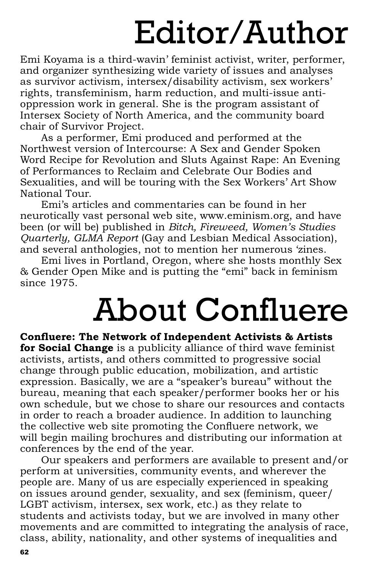# Editor/Author

Emi Koyama is a third-wavin' feminist activist, writer, performer, and organizer synthesizing wide variety of issues and analyses as survivor activism, intersex/disability activism, sex workers' rights, transfeminism, harm reduction, and multi-issue antioppression work in general. She is the program assistant of Intersex Society of North America, and the community board chair of Survivor Project.

As a performer, Emi produced and performed at the Northwest version of Intercourse: A Sex and Gender Spoken Word Recipe for Revolution and Sluts Against Rape: An Evening of Performances to Reclaim and Celebrate Our Bodies and Sexualities, and will be touring with the Sex Workers' Art Show National Tour.

Emi's articles and commentaries can be found in her neurotically vast personal web site, www.eminism.org, and have been (or will be) published in *Bitch, Fireweed, Women's Studies Quarterly, GLMA Report* (Gay and Lesbian Medical Association), and several anthologies, not to mention her numerous 'zines.

Emi lives in Portland, Oregon, where she hosts monthly Sex & Gender Open Mike and is putting the "emi" back in feminism since 1975.

# About Confluere

**Confl uere: The Network of Independent Activists & Artists for Social Change** is a publicity alliance of third wave feminist activists, artists, and others committed to progressive social change through public education, mobilization, and artistic expression. Basically, we are a "speaker's bureau" without the bureau, meaning that each speaker/performer books her or his own schedule, but we chose to share our resources and contacts in order to reach a broader audience. In addition to launching the collective web site promoting the Confluere network, we will begin mailing brochures and distributing our information at conferences by the end of the year.

Our speakers and performers are available to present and/or perform at universities, community events, and wherever the people are. Many of us are especially experienced in speaking on issues around gender, sexuality, and sex (feminism, queer/ LGBT activism, intersex, sex work, etc.) as they relate to students and activists today, but we are involved in many other movements and are committed to integrating the analysis of race, class, ability, nationality, and other systems of inequalities and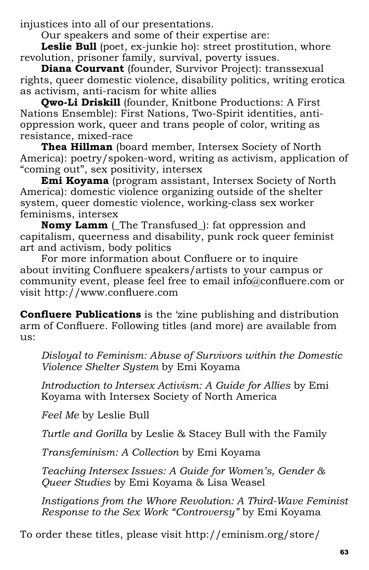injustices into all of our presentations.

Our speakers and some of their expertise are:

Leslie Bull (poet, ex-junkie ho): street prostitution, whore revolution, prisoner family, survival, poverty issues.

**Diana Courvant** (founder, Survivor Project): transsexual rights, queer domestic violence, disability politics, writing erotica as activism, anti-racism for white allies

**Qwo-Li Driskill** (founder, Knitbone Productions: A First Nations Ensemble): First Nations, Two-Spirit identities, antioppression work, queer and trans people of color, writing as resistance, mixed-race

**Thea Hillman** (board member, Intersex Society of North America): poetry/spoken-word, writing as activism, application of "coming out", sex positivity, intersex

**Emi Koyama** (program assistant, Intersex Society of North America): domestic violence organizing outside of the shelter system, queer domestic violence, working-class sex worker feminisms, intersex

**Nomy Lamm** (The Transfused): fat oppression and capitalism, queerness and disability, punk rock queer feminist art and activism, body politics

For more information about Confluere or to inquire about inviting Confluere speakers/artists to your campus or community event, please feel free to email info@confluere.com or visit http://www.confluere.com

**Confluere Publications** is the 'zine publishing and distribution arm of Confluere. Following titles (and more) are available from us:

*Disloyal to Feminism: Abuse of Survivors within the Domestic Violence Shelter System* by Emi Koyama

*Introduction to Intersex Activism: A Guide for Allies* by Emi Koyama with Intersex Society of North America

*Feel Me* by Leslie Bull

*Turtle and Gorilla* by Leslie & Stacey Bull with the Family

*Transfeminism: A Collection* by Emi Koyama

*Teaching Intersex Issues: A Guide for Women's, Gender & Queer Studies* by Emi Koyama & Lisa Weasel

*Instigations from the Whore Revolution: A Third-Wave Feminist Response to the Sex Work "Controversy"* by Emi Koyama

To order these titles, please visit http://eminism.org/store/